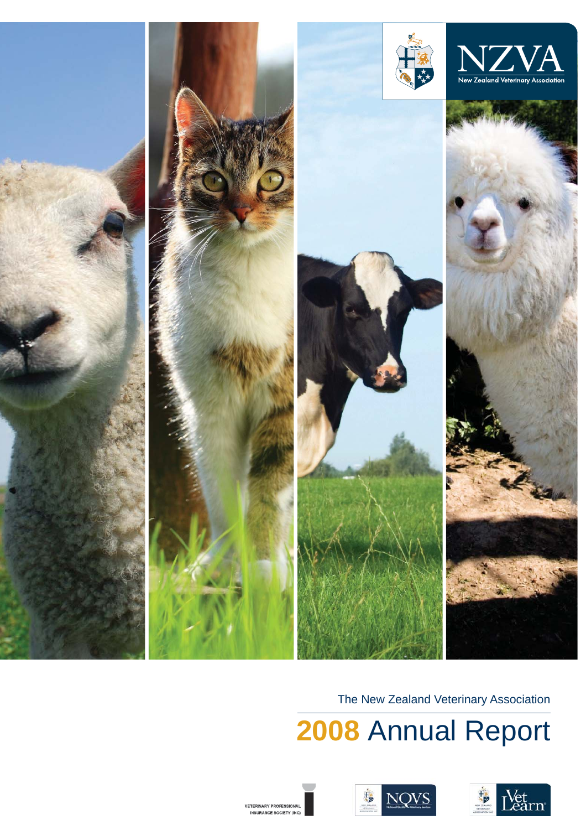

The New Zealand Veterinary Association

**2008**  Annual Report





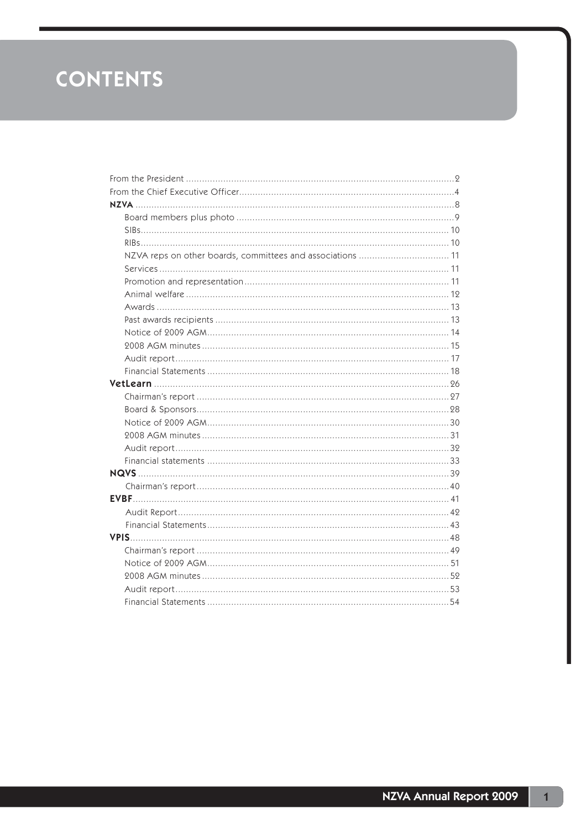# **CONTENTS**

| NZVA reps on other boards, committees and associations  11 |  |
|------------------------------------------------------------|--|
|                                                            |  |
|                                                            |  |
|                                                            |  |
|                                                            |  |
|                                                            |  |
|                                                            |  |
|                                                            |  |
|                                                            |  |
|                                                            |  |
|                                                            |  |
|                                                            |  |
|                                                            |  |
|                                                            |  |
|                                                            |  |
|                                                            |  |
|                                                            |  |
|                                                            |  |
|                                                            |  |
|                                                            |  |
|                                                            |  |
|                                                            |  |
|                                                            |  |
|                                                            |  |
|                                                            |  |
|                                                            |  |
|                                                            |  |
|                                                            |  |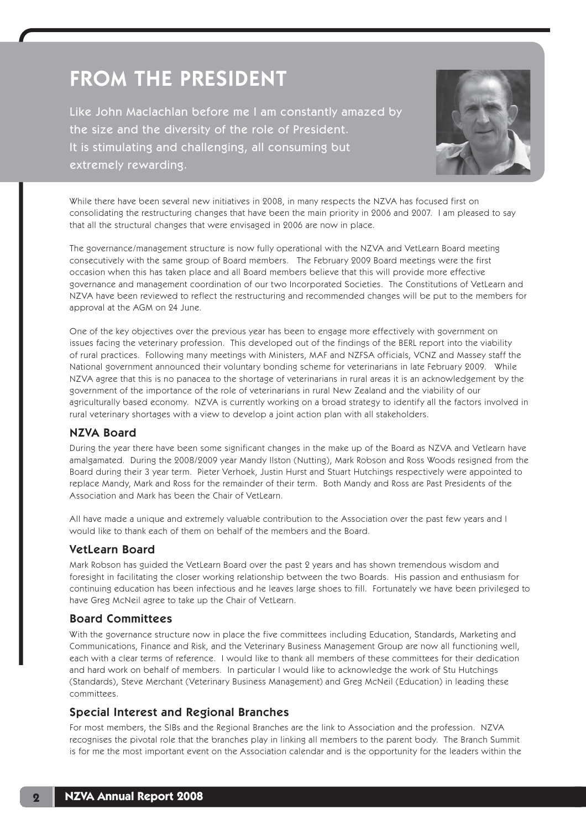# FROM THE PRESIDENT

Like John Maclachlan before me I am constantly amazed by the size and the diversity of the role of President. It is stimulating and challenging, all consuming but extremely rewarding.



While there have been several new initiatives in 2008, in many respects the NZVA has focused first on consolidating the restructuring changes that have been the main priority in 2006 and 2007. I am pleased to say that all the structural changes that were envisaged in 2006 are now in place.

The governance/management structure is now fully operational with the NZVA and VetLearn Board meeting consecutively with the same group of Board members. The February 2009 Board meetings were the first occasion when this has taken place and all Board members believe that this will provide more effective governance and management coordination of our two Incorporated Societies. The Constitutions of VetLearn and NZVA have been reviewed to reflect the restructuring and recommended changes will be put to the members for approval at the AGM on 24 June.

One of the key objectives over the previous year has been to engage more effectively with government on issues facing the veterinary profession. This developed out of the findings of the BERL report into the viability of rural practices. Following many meetings with Ministers, MAF and NZFSA officials, VCNZ and Massey staff the National government announced their voluntary bonding scheme for veterinarians in late February 2009. While NZVA agree that this is no panacea to the shortage of veterinarians in rural areas it is an acknowledgement by the government of the importance of the role of veterinarians in rural New Zealand and the viability of our agriculturally based economy. NZVA is currently working on a broad strategy to identify all the factors involved in rural veterinary shortages with a view to develop a joint action plan with all stakeholders.

## NZVA Board

During the year there have been some significant changes in the make up of the Board as NZVA and Vetlearn have amalgamated. During the 2008/2009 year Mandy Ilston (Nutting), Mark Robson and Ross Woods resigned from the Board during their 3 year term. Pieter Verhoek, Justin Hurst and Stuart Hutchings respectively were appointed to replace Mandy, Mark and Ross for the remainder of their term. Both Mandy and Ross are Past Presidents of the Association and Mark has been the Chair of VetLearn.

All have made a unique and extremely valuable contribution to the Association over the past few years and I would like to thank each of them on behalf of the members and the Board.

## VetLearn Board

Mark Robson has guided the VetLearn Board over the past 2 years and has shown tremendous wisdom and foresight in facilitating the closer working relationship between the two Boards. His passion and enthusiasm for continuing education has been infectious and he leaves large shoes to fill. Fortunately we have been privileged to have Greg McNeil agree to take up the Chair of VetLearn.

## Board Committees

With the governance structure now in place the five committees including Education, Standards, Marketing and Communications, Finance and Risk, and the Veterinary Business Management Group are now all functioning well, each with a clear terms of reference. I would like to thank all members of these committees for their dedication and hard work on behalf of members. In particular I would like to acknowledge the work of Stu Hutchings (Standards), Steve Merchant (Veterinary Business Management) and Greg McNeil (Education) in leading these committees.

# Special Interest and Regional Branches

For most members, the SIBs and the Regional Branches are the link to Association and the profession. NZVA recognises the pivotal role that the branches play in linking all members to the parent body. The Branch Summit is for me the most important event on the Association calendar and is the opportunity for the leaders within the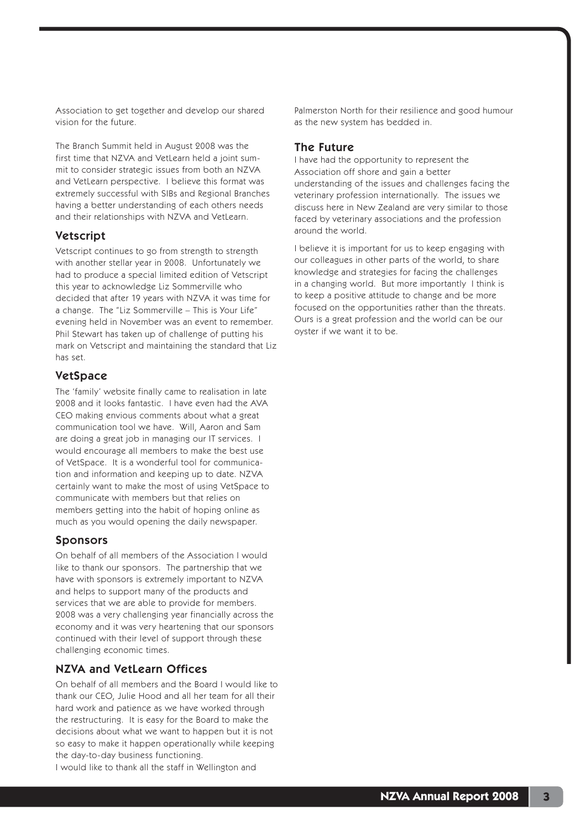Association to get together and develop our shared vision for the future.

The Branch Summit held in August 2008 was the first time that NZVA and VetLearn held a joint summit to consider strategic issues from both an NZVA and VetLearn perspective. I believe this format was extremely successful with SIBs and Regional Branches having a better understanding of each others needs and their relationships with NZVA and VetLearn.

## Vetscript

Vetscript continues to go from strength to strength with another stellar year in 2008. Unfortunately we had to produce a special limited edition of Vetscript this year to acknowledge Liz Sommerville who decided that after 19 years with NZVA it was time for a change. The "Liz Sommerville – This is Your Life" evening held in November was an event to remember. Phil Stewart has taken up of challenge of putting his mark on Vetscript and maintaining the standard that Liz has set.

## VetSpace

The 'family' website finally came to realisation in late 2008 and it looks fantastic. I have even had the AVA CEO making envious comments about what a great communication tool we have. Will, Aaron and Sam are doing a great job in managing our IT services. I would encourage all members to make the best use of VetSpace. It is a wonderful tool for communication and information and keeping up to date. NZVA certainly want to make the most of using VetSpace to communicate with members but that relies on members getting into the habit of hoping online as much as you would opening the daily newspaper.

### Sponsors

On behalf of all members of the Association I would like to thank our sponsors. The partnership that we have with sponsors is extremely important to NZVA and helps to support many of the products and services that we are able to provide for members. 2008 was a very challenging year financially across the economy and it was very heartening that our sponsors continued with their level of support through these challenging economic times.

# NZVA and VetLearn Offices

On behalf of all members and the Board I would like to thank our CEO, Julie Hood and all her team for all their hard work and patience as we have worked through the restructuring. It is easy for the Board to make the decisions about what we want to happen but it is not so easy to make it happen operationally while keeping the day-to-day business functioning.

I would like to thank all the staff in Wellington and

Palmerston North for their resilience and good humour as the new system has bedded in.

### The Future

I have had the opportunity to represent the Association off shore and gain a better understanding of the issues and challenges facing the veterinary profession internationally. The issues we discuss here in New Zealand are very similar to those faced by veterinary associations and the profession around the world.

I believe it is important for us to keep engaging with our colleagues in other parts of the world, to share knowledge and strategies for facing the challenges in a changing world. But more importantly I think is to keep a positive attitude to change and be more focused on the opportunities rather than the threats. Ours is a great profession and the world can be our oyster if we want it to be.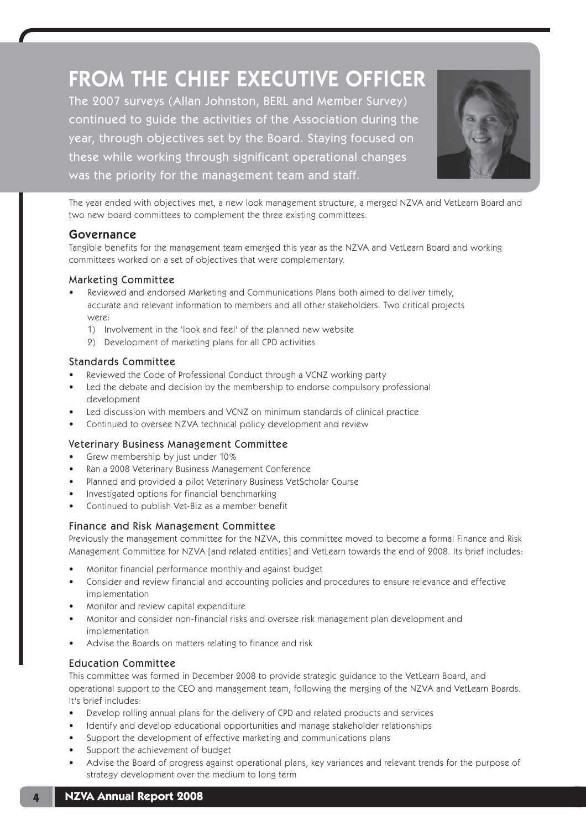# FROM THE CHIEF EXECUTIVE OFFICER The 2007 surveys (Allan Johnston, BERL and Member Survey) continued to guide the activities of the Association during the year, through objectives set by the Board. Staying focused on these while working through significant operational changes was the priority for the management team and staff.



The year ended with objectives met, a new look management structure, a merged NZVA and VetLearn Board and two new board committees to complement the three existing committees.

# Governance

Tangible benefits for the management team emerged this year as the NZVA and VetLearn Board and working committees worked on a set of objectives that were complementary.

## Marketing Committee

- Reviewed and endorsed Marketing and Communications Plans both aimed to deliver timely, accurate and relevant information to members and all other stakeholders. Two critical projects were:
	- 1) Involvement in the 'look and feel' of the planned new website
	- 2) Development of marketing plans for all CPD activities

## Standards Committee

- Reviewed the Code of Professional Conduct through a VCNZ working party
- Led the debate and decision by the membership to endorse compulsory professional development
- Led discussion with members and VCNZ on minimum standards of clinical practice
- Continued to oversee NZVA technical policy development and review

### Veterinary Business Management Committee

- Grew membership by just under 10%
- Ran a 2008 Veterinary Business Management Conference
- Planned and provided a pilot Veterinary Business VetScholar Course
- Investigated options for financial benchmarking
- Continued to publish Vet-Biz as a member benefit

### Finance and Risk Management Committee

Previously the management committee for the NZVA, this committee moved to become a formal Finance and Risk Management Committee for NZVA [and related entities] and VetLearn towards the end of 2008. Its brief includes:

- Monitor financial performance monthly and against budget
- Consider and review financial and accounting policies and procedures to ensure relevance and effective implementation
- Monitor and review capital expenditure
- Monitor and consider non-financial risks and oversee risk management plan development and implementation
- Advise the Boards on matters relating to finance and risk

## Education Committee

This committee was formed in December 2008 to provide strategic guidance to the VetLearn Board, and operational support to the CEO and management team, following the merging of the NZVA and VetLearn Boards. It's brief includes:

- Develop rolling annual plans for the delivery of CPD and related products and services
- Identify and develop educational opportunities and manage stakeholder relationships
- Support the development of effective marketing and communications plans
- Support the achievement of budget
- Advise the Board of progress against operational plans, key variances and relevant trends for the purpose of strategy development over the medium to long term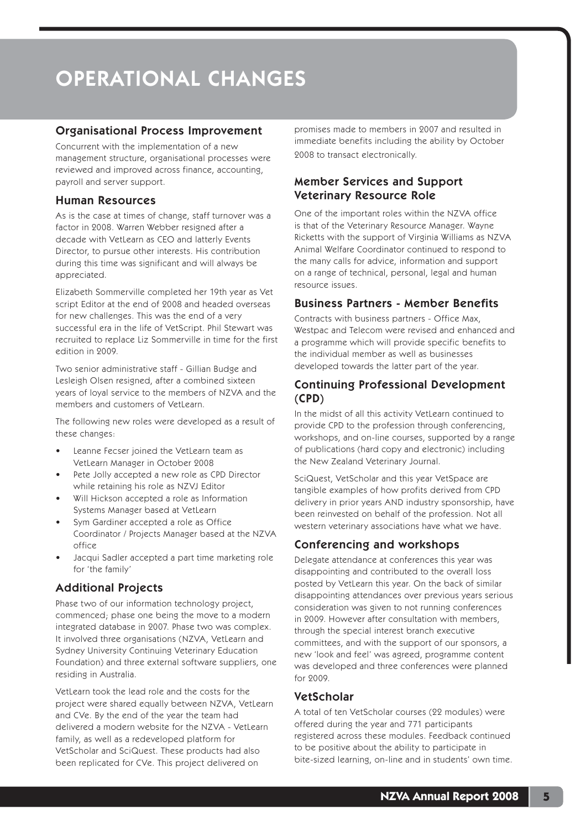# OPERATIONAL CHANGES

## Organisational Process Improvement

Concurrent with the implementation of a new management structure, organisational processes were reviewed and improved across finance, accounting, payroll and server support.

## Human Resources

As is the case at times of change, staff turnover was a factor in 2008. Warren Webber resigned after a decade with VetLearn as CEO and latterly Events Director, to pursue other interests. His contribution during this time was significant and will always be appreciated.

Elizabeth Sommerville completed her 19th year as Vet script Editor at the end of 2008 and headed overseas for new challenges. This was the end of a very successful era in the life of VetScript. Phil Stewart was recruited to replace Liz Sommerville in time for the first edition in 2009.

Two senior administrative staff - Gillian Budge and Lesleigh Olsen resigned, after a combined sixteen years of loyal service to the members of NZVA and the members and customers of VetLearn.

The following new roles were developed as a result of these changes:

- Leanne Fecser joined the VetLearn team as VetLearn Manager in October 2008
- Pete Jolly accepted a new role as CPD Director while retaining his role as NZVJ Editor
- Will Hickson accepted a role as Information Systems Manager based at VetLearn
- Sym Gardiner accepted a role as Office Coordinator / Projects Manager based at the NZVA office
- Jacqui Sadler accepted a part time marketing role for 'the family'

# Additional Projects

Phase two of our information technology project, commenced; phase one being the move to a modern integrated database in 2007. Phase two was complex. It involved three organisations (NZVA, VetLearn and Sydney University Continuing Veterinary Education Foundation) and three external software suppliers, one residing in Australia.

VetLearn took the lead role and the costs for the project were shared equally between NZVA, VetLearn and CVe. By the end of the year the team had delivered a modern website for the NZVA - VetLearn family, as well as a redeveloped platform for VetScholar and SciQuest. These products had also been replicated for CVe. This project delivered on

promises made to members in 2007 and resulted in immediate benefits including the ability by October 2008 to transact electronically.

# Member Services and Support Veterinary Resource Role

One of the important roles within the NZVA office is that of the Veterinary Resource Manager. Wayne Ricketts with the support of Virginia Williams as NZVA Animal Welfare Coordinator continued to respond to the many calls for advice, information and support on a range of technical, personal, legal and human resource issues.

# Business Partners - Member Benefits

Contracts with business partners - Office Max, Westpac and Telecom were revised and enhanced and a programme which will provide specific benefits to the individual member as well as businesses developed towards the latter part of the year.

## Continuing Professional Development (CPD)

In the midst of all this activity VetLearn continued to provide CPD to the profession through conferencing, workshops, and on-line courses, supported by a range of publications (hard copy and electronic) including the New Zealand Veterinary Journal.

SciQuest, VetScholar and this year VetSpace are tangible examples of how profits derived from CPD delivery in prior years AND industry sponsorship, have been reinvested on behalf of the profession. Not all western veterinary associations have what we have.

# Conferencing and workshops

Delegate attendance at conferences this year was disappointing and contributed to the overall loss posted by VetLearn this year. On the back of similar disappointing attendances over previous years serious consideration was given to not running conferences in 2009. However after consultation with members, through the special interest branch executive committees, and with the support of our sponsors, a new 'look and feel' was agreed, programme content was developed and three conferences were planned for 2009.

# VetScholar

A total of ten VetScholar courses (22 modules) were offered during the year and 771 participants registered across these modules. Feedback continued to be positive about the ability to participate in bite-sized learning, on-line and in students' own time.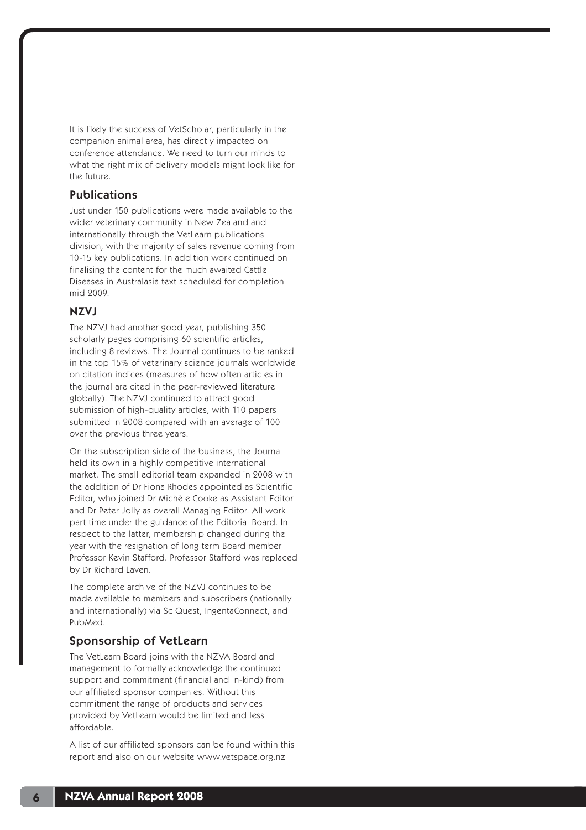It is likely the success of VetScholar, particularly in the companion animal area, has directly impacted on conference attendance. We need to turn our minds to what the right mix of delivery models might look like for the future.

## Publications

Just under 150 publications were made available to the wider veterinary community in New Zealand and internationally through the VetLearn publications division, with the majority of sales revenue coming from 10-15 key publications. In addition work continued on finalising the content for the much awaited Cattle Diseases in Australasia text scheduled for completion mid 2009.

## NZVJ

The NZVJ had another good year, publishing 350 scholarly pages comprising 60 scientific articles, including 8 reviews. The Journal continues to be ranked in the top 15% of veterinary science journals worldwide on citation indices (measures of how often articles in the journal are cited in the peer-reviewed literature globally). The NZVJ continued to attract good submission of high-quality articles, with 110 papers submitted in 2008 compared with an average of 100 over the previous three years.

On the subscription side of the business, the Journal held its own in a highly competitive international market. The small editorial team expanded in 2008 with the addition of Dr Fiona Rhodes appointed as Scientific Editor, who joined Dr Michèle Cooke as Assistant Editor and Dr Peter Jolly as overall Managing Editor. All work part time under the guidance of the Editorial Board. In respect to the latter, membership changed during the year with the resignation of long term Board member Professor Kevin Stafford. Professor Stafford was replaced by Dr Richard Laven.

The complete archive of the NZVJ continues to be made available to members and subscribers (nationally and internationally) via SciQuest, IngentaConnect, and PubMed.

### Sponsorship of VetLearn

The VetLearn Board joins with the NZVA Board and management to formally acknowledge the continued support and commitment (financial and in-kind) from our affiliated sponsor companies. Without this commitment the range of products and services provided by VetLearn would be limited and less affordable.

A list of our affiliated sponsors can be found within this report and also on our website www.vetspace.org.nz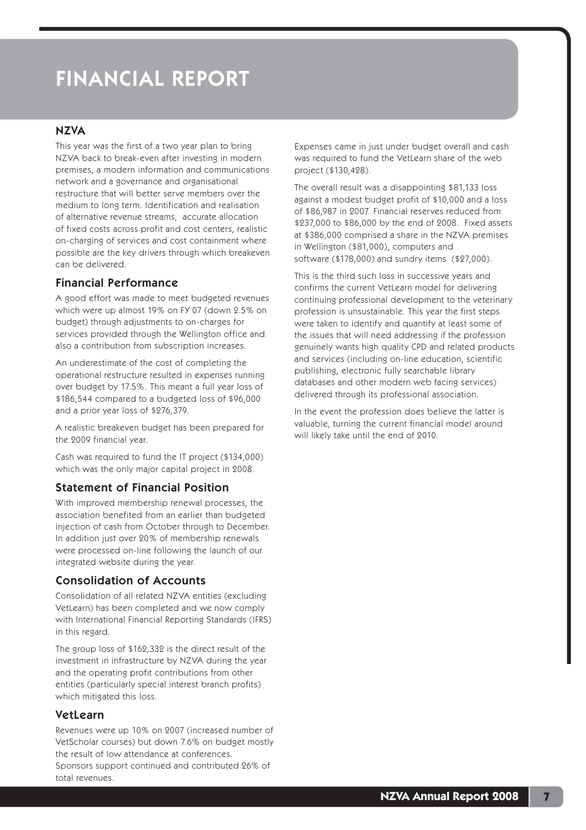# FINANCIAL REPORT

### **NZVA**

This year was the first of a two year plan to bring NZVA back to break-even after investing in modern premises, a modern information and communications network and a governance and organisational restructure that will better serve members over the medium to long term. Identification and realisation of alternative revenue streams, accurate allocation of fixed costs across profit and cost centers, realistic on-charging of services and cost containment where possible are the key drivers through which breakeven can be delivered.

## Financial Performance

A good effort was made to meet budgeted revenues which were up almost 19% on FY 07 (down 2.5% on budget) through adjustments to on-charges for services provided through the Wellington office and also a contribution from subscription increases.

An underestimate of the cost of completing the operational restructure resulted in expenses running over budget by 17.5%. This meant a full year loss of \$186,544 compared to a budgeted loss of \$96,000 and a prior year loss of \$276,379.

A realistic breakeven budget has been prepared for the 2009 financial year.

Cash was required to fund the IT project (\$134,000) which was the only major capital project in 2008.

## Statement of Financial Position

With improved membership renewal processes, the association benefited from an earlier than budgeted injection of cash from October through to December. In addition just over 20% of membership renewals were processed on-line following the launch of our integrated website during the year.

## Consolidation of Accounts

Consolidation of all related NZVA entities (excluding VetLearn) has been completed and we now comply with International Financial Reporting Standards (IFRS) in this regard.

The group loss of \$162,332 is the direct result of the investment in infrastructure by NZVA during the year and the operating profit contributions from other entities (particularly special interest branch profits) which mitigated this loss.

## VetLearn

Revenues were up 10% on 2007 (increased number of VetScholar courses) but down 7.6% on budget mostly the result of low attendance at conferences. Sponsors support continued and contributed 26% of total revenues.

Expenses came in just under budget overall and cash was required to fund the VetLearn share of the web project (\$130,428).

The overall result was a disappointing \$81,133 loss against a modest budget profit of \$10,000 and a loss of \$86,987 in 2007. Financial reserves reduced from \$237,000 to \$86,000 by the end of 2008. Fixed assets at \$386,000 comprised a share in the NZVA premises in Wellington (\$81,000), computers and software (\$178,000) and sundry items (\$27,000).

This is the third such loss in successive years and confirms the current VetLearn model for delivering continuing professional development to the veterinary profession is unsustainable. This year the first steps were taken to identify and quantify at least some of the issues that will need addressing if the profession genuinely wants high quality CPD and related products and services (including on-line education, scientific publishing, electronic fully searchable library databases and other modern web facing services) delivered through its professional association.

In the event the profession does believe the latter is valuable, turning the current financial model around will likely take until the end of 2010.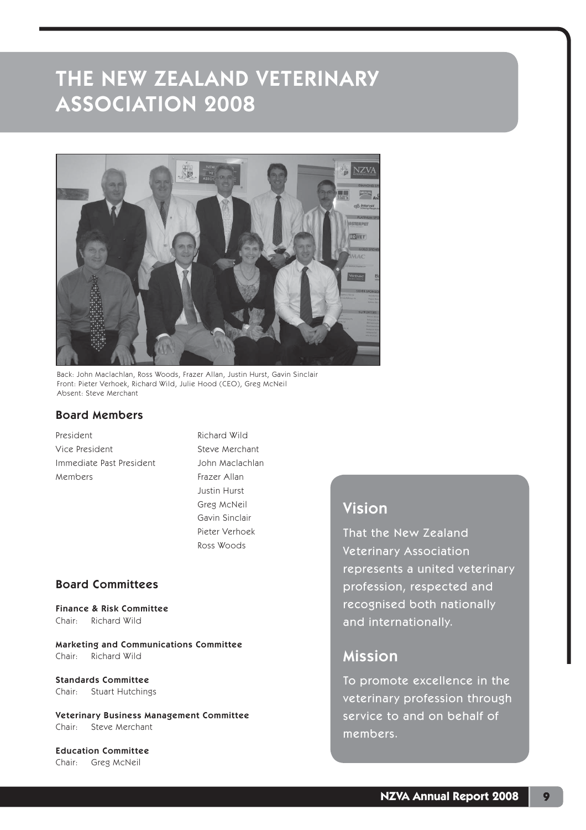

Back: John Maclachlan, Ross Woods, Frazer Allan, Justin Hurst, Gavin Sinclair Front: Pieter Verhoek, Richard Wild, Julie Hood (CEO), Greg McNeil Absent: Steve Merchant

### Board Members

President **Richard Wild** Vice President Steve Merchant Immediate Past President John Maclachlan Members Frazer Allan

 Justin Hurst Greg McNeil Gavin Sinclair Pieter Verhoek Ross Woods

# Board Committees

Finance & Risk Committee Chair: Richard Wild

Marketing and Communications Committee Chair: Richard Wild

Standards Committee Chair: Stuart Hutchings

Veterinary Business Management Committee Chair: Steve Merchant

Education Committee Chair: Greg McNeil

# Vision

That the New Zealand Veterinary Association represents a united veterinary profession, respected and recognised both nationally and internationally.

# Mission

To promote excellence in the veterinary profession through service to and on behalf of members.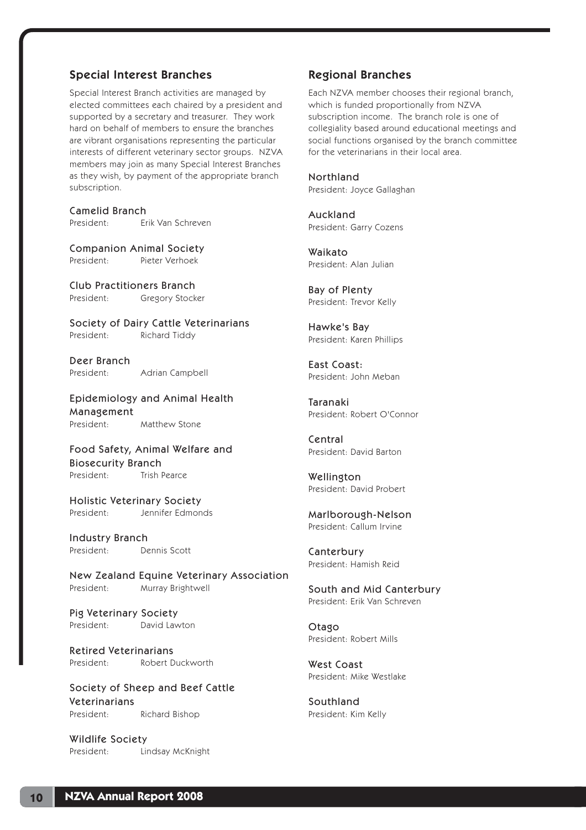## Special Interest Branches

Special Interest Branch activities are managed by elected committees each chaired by a president and supported by a secretary and treasurer. They work hard on behalf of members to ensure the branches are vibrant organisations representing the particular interests of different veterinary sector groups. NZVA members may join as many Special Interest Branches as they wish, by payment of the appropriate branch subscription.

Camelid Branch President: Erik Van Schreven

Companion Animal Society President: Pieter Verhoek

Club Practitioners Branch President: Gregory Stocker

Society of Dairy Cattle Veterinarians President: Richard Tiddy

Deer Branch President: Adrian Campbell

Epidemiology and Animal Health Management President: Matthew Stone

Food Safety, Animal Welfare and Biosecurity Branch President: Trish Pearce

Holistic Veterinary Society President: Jennifer Edmonds

Industry Branch President: Dennis Scott

New Zealand Equine Veterinary Association President: Murray Brightwell

Pig Veterinary Society President: David Lawton

Retired Veterinarians President: Robert Duckworth

Society of Sheep and Beef Cattle Veterinarians President: Richard Bishop

Wildlife Society President: Lindsay McKnight

## Regional Branches

Each NZVA member chooses their regional branch, which is funded proportionally from NZVA subscription income. The branch role is one of collegiality based around educational meetings and social functions organised by the branch committee for the veterinarians in their local area.

Northland President: Joyce Gallaghan

Auckland President: Garry Cozens

Waikato President: Alan Julian

Bay of Plenty President: Trevor Kelly

Hawke's Bay President: Karen Phillips

East Coast: President: John Meban

Taranaki President: Robert O'Connor

Central President: David Barton

Wellington President: David Probert

Marlborough-Nelson President: Callum Irvine

Canterbury President: Hamish Reid

South and Mid Canterbury President: Erik Van Schreven

Otago President: Robert Mills

West Coast President: Mike Westlake

Southland President: Kim Kelly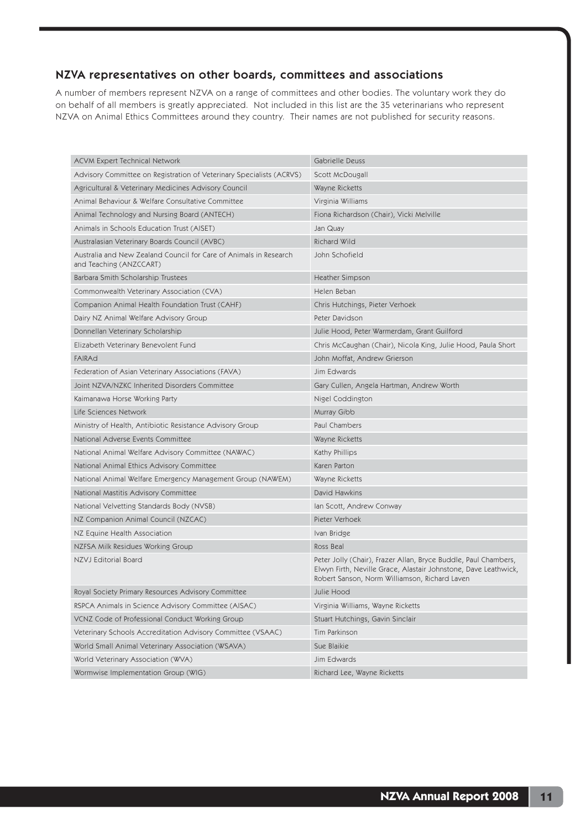## NZVA representatives on other boards, committees and associations

A number of members represent NZVA on a range of committees and other bodies. The voluntary work they do on behalf of all members is greatly appreciated. Not included in this list are the 35 veterinarians who represent NZVA on Animal Ethics Committees around they country. Their names are not published for security reasons.

| <b>ACVM Expert Technical Network</b>                                                         | Gabrielle Deuss                                                                                                                                                                     |
|----------------------------------------------------------------------------------------------|-------------------------------------------------------------------------------------------------------------------------------------------------------------------------------------|
| Advisory Committee on Registration of Veterinary Specialists (ACRVS)                         | Scott McDougall                                                                                                                                                                     |
| Agricultural & Veterinary Medicines Advisory Council                                         | Wayne Ricketts                                                                                                                                                                      |
| Animal Behaviour & Welfare Consultative Committee                                            | Virginia Williams                                                                                                                                                                   |
| Animal Technology and Nursing Board (ANTECH)                                                 | Fiona Richardson (Chair), Vicki Melville                                                                                                                                            |
| Animals in Schools Education Trust (AISET)                                                   | Jan Quay                                                                                                                                                                            |
| Australasian Veterinary Boards Council (AVBC)                                                | <b>Richard Wild</b>                                                                                                                                                                 |
| Australia and New Zealand Council for Care of Animals in Research<br>and Teaching (ANZCCART) | John Schofield                                                                                                                                                                      |
| Barbara Smith Scholarship Trustees                                                           | <b>Heather Simpson</b>                                                                                                                                                              |
| Commonwealth Veterinary Association (CVA)                                                    | Helen Beban                                                                                                                                                                         |
| Companion Animal Health Foundation Trust (CAHF)                                              | Chris Hutchings, Pieter Verhoek                                                                                                                                                     |
| Dairy NZ Animal Welfare Advisory Group                                                       | Peter Davidson                                                                                                                                                                      |
| Donnellan Veterinary Scholarship                                                             | Julie Hood, Peter Warmerdam, Grant Guilford                                                                                                                                         |
| Elizabeth Veterinary Benevolent Fund                                                         | Chris McCaughan (Chair), Nicola King, Julie Hood, Paula Short                                                                                                                       |
| <b>FAIRAd</b>                                                                                | John Moffat, Andrew Grierson                                                                                                                                                        |
| Federation of Asian Veterinary Associations (FAVA)                                           | Jim Edwards                                                                                                                                                                         |
| Joint NZVA/NZKC Inherited Disorders Committee                                                | Gary Cullen, Angela Hartman, Andrew Worth                                                                                                                                           |
| Kaimanawa Horse Working Party                                                                | Nigel Coddington                                                                                                                                                                    |
| Life Sciences Network                                                                        | Murray Gibb                                                                                                                                                                         |
| Ministry of Health, Antibiotic Resistance Advisory Group                                     | Paul Chambers                                                                                                                                                                       |
| National Adverse Events Committee                                                            | Wayne Ricketts                                                                                                                                                                      |
| National Animal Welfare Advisory Committee (NAWAC)                                           | Kathy Phillips                                                                                                                                                                      |
| National Animal Ethics Advisory Committee                                                    | Karen Parton                                                                                                                                                                        |
| National Animal Welfare Emergency Management Group (NAWEM)                                   | Wayne Ricketts                                                                                                                                                                      |
| National Mastitis Advisory Committee                                                         | <b>David Hawkins</b>                                                                                                                                                                |
| National Velvetting Standards Body (NVSB)                                                    | Ian Scott, Andrew Conway                                                                                                                                                            |
| NZ Companion Animal Council (NZCAC)                                                          | Pieter Verhoek                                                                                                                                                                      |
| NZ Equine Health Association                                                                 | Ivan Bridge                                                                                                                                                                         |
| NZFSA Milk Residues Working Group                                                            | Ross Beal                                                                                                                                                                           |
| NZVJ Editorial Board                                                                         | Peter Jolly (Chair), Frazer Allan, Bryce Buddle, Paul Chambers,<br>Elwyn Firth, Neville Grace, Alastair Johnstone, Dave Leathwick,<br>Robert Sanson, Norm Williamson, Richard Laven |
| Royal Society Primary Resources Advisory Committee                                           | Julie Hood                                                                                                                                                                          |
| RSPCA Animals in Science Advisory Committee (AISAC)                                          | Virginia Williams, Wayne Ricketts                                                                                                                                                   |
| VCNZ Code of Professional Conduct Working Group                                              | Stuart Hutchings, Gavin Sinclair                                                                                                                                                    |
| Veterinary Schools Accreditation Advisory Committee (VSAAC)                                  | Tim Parkinson                                                                                                                                                                       |
| World Small Animal Veterinary Association (WSAVA)                                            | Sue Blaikie                                                                                                                                                                         |
| World Veterinary Association (WVA)                                                           | Jim Edwards                                                                                                                                                                         |
| Wormwise Implementation Group (WIG)                                                          | Richard Lee, Wayne Ricketts                                                                                                                                                         |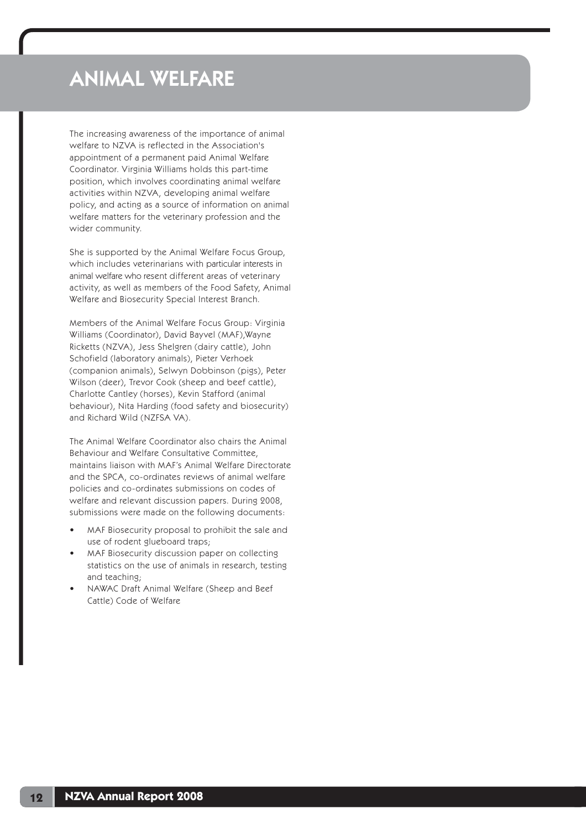# ANIMAL WELFARE

The increasing awareness of the importance of animal welfare to NZVA is reflected in the Association's appointment of a permanent paid Animal Welfare Coordinator. Virginia Williams holds this part-time position, which involves coordinating animal welfare activities within NZVA, developing animal welfare policy, and acting as a source of information on animal welfare matters for the veterinary profession and the wider community.

She is supported by the Animal Welfare Focus Group, which includes veterinarians with particular interests in animal welfare who resent different areas of veterinary activity, as well as members of the Food Safety, Animal Welfare and Biosecurity Special Interest Branch.

Members of the Animal Welfare Focus Group: Virginia Williams (Coordinator), David Bayvel (MAF),Wayne Ricketts (NZVA), Jess Shelgren (dairy cattle), John Schofield (laboratory animals), Pieter Verhoek (companion animals), Selwyn Dobbinson (pigs), Peter Wilson (deer), Trevor Cook (sheep and beef cattle), Charlotte Cantley (horses), Kevin Stafford (animal behaviour), Nita Harding (food safety and biosecurity) and Richard Wild (NZFSA VA).

The Animal Welfare Coordinator also chairs the Animal Behaviour and Welfare Consultative Committee, maintains liaison with MAF's Animal Welfare Directorate and the SPCA, co-ordinates reviews of animal welfare policies and co-ordinates submissions on codes of welfare and relevant discussion papers. During 2008, submissions were made on the following documents:

- MAF Biosecurity proposal to prohibit the sale and use of rodent glueboard traps;
- MAF Biosecurity discussion paper on collecting statistics on the use of animals in research, testing and teaching;
- NAWAC Draft Animal Welfare (Sheep and Beef Cattle) Code of Welfare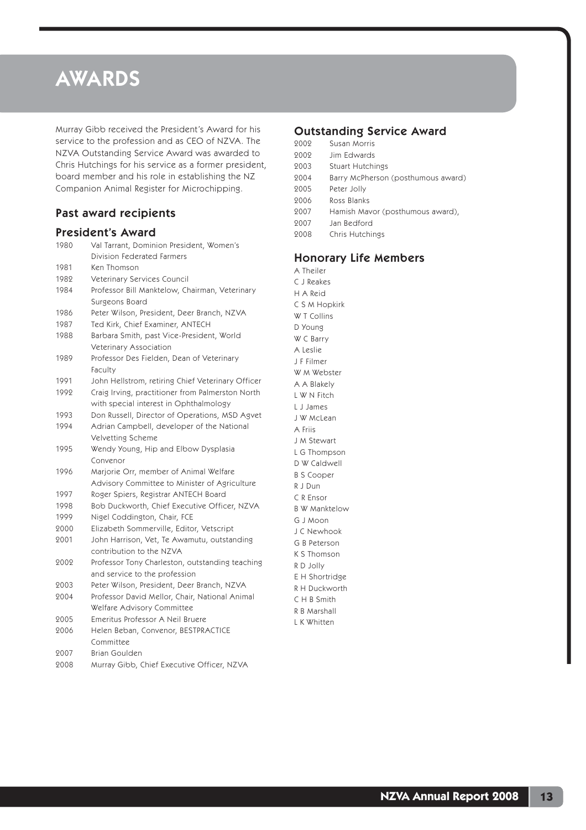# AWARDS

Murray Gibb received the President's Award for his service to the profession and as CEO of NZVA. The NZVA Outstanding Service Award was awarded to Chris Hutchings for his service as a former president, board member and his role in establishing the NZ Companion Animal Register for Microchipping.

# Past award recipients

### President's Award

| 1980 | Val Tarrant, Dominion President, Women's          |
|------|---------------------------------------------------|
|      | Division Federated Farmers                        |
| 1981 | Ken Thomson                                       |
| 1982 | Veterinary Services Council                       |
| 1984 | Professor Bill Manktelow, Chairman, Veterinary    |
|      | Surgeons Board                                    |
| 1986 | Peter Wilson, President, Deer Branch, NZVA        |
| 1987 | Ted Kirk, Chief Examiner, ANTECH                  |
| 1988 | Barbara Smith, past Vice-President, World         |
|      | Veterinary Association                            |
| 1989 | Professor Des Fielden, Dean of Veterinary         |
|      | Faculty                                           |
| 1991 | John Hellstrom, retiring Chief Veterinary Officer |
| 1992 | Craig Irving, practitioner from Palmerston North  |
|      | with special interest in Ophthalmology            |
| 1993 | Don Russell, Director of Operations, MSD Agvet    |
| 1994 | Adrian Campbell, developer of the National        |
|      | Velvetting Scheme                                 |
| 1995 | Wendy Young, Hip and Elbow Dysplasia              |
|      | Convenor                                          |
| 1996 | Marjorie Orr, member of Animal Welfare            |
|      | Advisory Committee to Minister of Agriculture     |
| 1997 | Roger Spiers, Registrar ANTECH Board              |
| 1998 | Bob Duckworth, Chief Executive Officer, NZVA      |
| 1999 | Nigel Coddington, Chair, FCE                      |
| 2000 | Elizabeth Sommerville, Editor, Vetscript          |
| 2001 | John Harrison, Vet, Te Awamutu, outstanding       |
|      | contribution to the NZVA                          |
| 2002 | Professor Tony Charleston, outstanding teaching   |
|      | and service to the profession                     |
| 2003 | Peter Wilson, President, Deer Branch, NZVA        |
| 2004 | Professor David Mellor, Chair, National Animal    |
|      | Welfare Advisory Committee                        |
| 2005 | Emeritus Professor A Neil Bruere                  |
| 2006 | Helen Beban, Convenor, BESTPRACTICE               |
|      | Committee                                         |
| 2007 | <b>Brian Goulden</b>                              |
| 2008 | Murray Gibb, Chief Executive Officer, NZVA        |

## Outstanding Service Award

|                   | .                                  |
|-------------------|------------------------------------|
| 2002              | Susan Morris                       |
| 2002              | Jim Edwards                        |
| 2003              | Stuart Hutchings                   |
| 2004              | Barry McPherson (posthumous award) |
| 2005              | Peter Jolly                        |
| 2006              | Ross Blanks                        |
| 2007              | Hamish Mavor (posthumous award),   |
| 2007              | Jan Bedford                        |
| 2008              | Chris Hutchings                    |
|                   |                                    |
|                   | <b>Honorary Life Members</b>       |
| A Theiler         |                                    |
| C J Reakes        |                                    |
| H A Reid          |                                    |
| C S M Hopkirk     |                                    |
| <b>WT Collins</b> |                                    |
| D Young           |                                    |
| W C Barry         |                                    |
| A Leslie          |                                    |
| J F Filmer        |                                    |

W M Webster A A Blakely L W N Fitch L J James J W McLean A Friis J M Stewart L G Thompson D W Caldwell B S Cooper R J Dun C R Ensor B W Manktelow G J Moon J C Newhook G B Peterson K S Thomson R D Jolly E H Shortridge R H Duckworth C H B Smith R B Marshall L K Whitten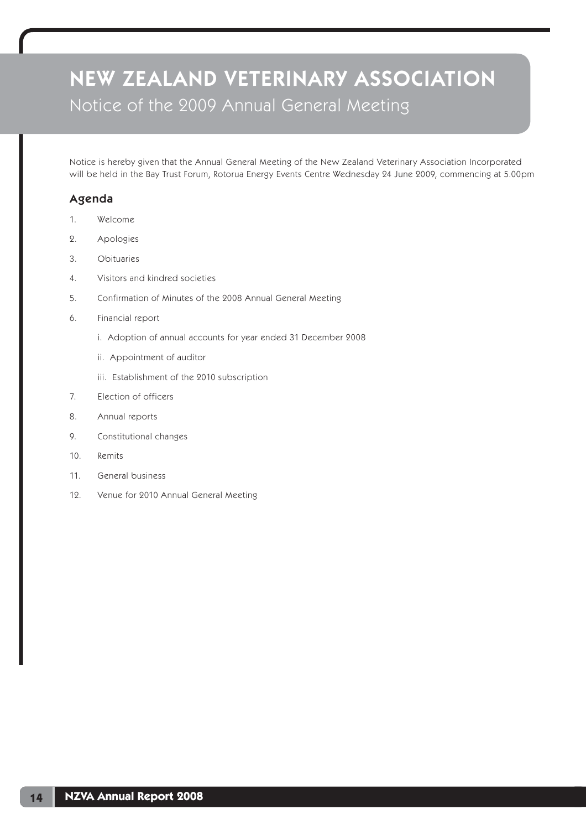# NEW ZEALAND VETERINARY ASSOCIATION Notice of the 2009 Annual General Meeting

Notice is hereby given that the Annual General Meeting of the New Zealand Veterinary Association Incorporated will be held in the Bay Trust Forum, Rotorua Energy Events Centre Wednesday 24 June 2009, commencing at 5.00pm

# Agenda

- 1. Welcome
- 2. Apologies
- 3. Obituaries
- 4. Visitors and kindred societies
- 5. Confirmation of Minutes of the 2008 Annual General Meeting
- 6. Financial report
	- i. Adoption of annual accounts for year ended 31 December 2008
	- ii. Appointment of auditor
	- iii. Establishment of the 2010 subscription
- 7. Election of officers
- 8. Annual reports
- 9. Constitutional changes
- 10. Remits
- 11. General business
- 12. Venue for 2010 Annual General Meeting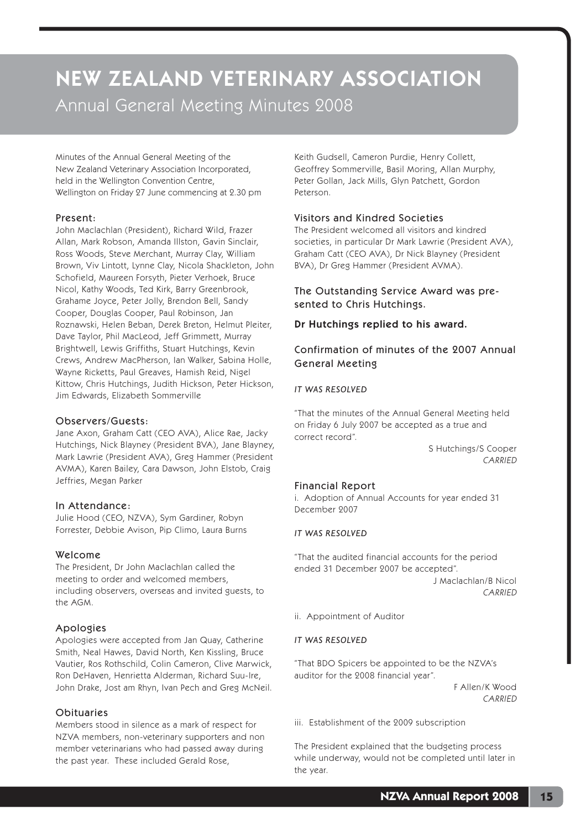# NEW ZEALAND VETERINARY ASSOCIATION Annual General Meeting Minutes 2008

Minutes of the Annual General Meeting of the New Zealand Veterinary Association Incorporated, held in the Wellington Convention Centre, Wellington on Friday 27 June commencing at 2.30 pm

#### Present:

John Maclachlan (President), Richard Wild, Frazer Allan, Mark Robson, Amanda Illston, Gavin Sinclair, Ross Woods, Steve Merchant, Murray Clay, William Brown, Viv Lintott, Lynne Clay, Nicola Shackleton, John Schofield, Maureen Forsyth, Pieter Verhoek, Bruce Nicol, Kathy Woods, Ted Kirk, Barry Greenbrook, Grahame Joyce, Peter Jolly, Brendon Bell, Sandy Cooper, Douglas Cooper, Paul Robinson, Jan Roznawski, Helen Beban, Derek Breton, Helmut Pleiter, Dave Taylor, Phil MacLeod, Jeff Grimmett, Murray Brightwell, Lewis Griffiths, Stuart Hutchings, Kevin Crews, Andrew MacPherson, Ian Walker, Sabina Holle, Wayne Ricketts, Paul Greaves, Hamish Reid, Nigel Kittow, Chris Hutchings, Judith Hickson, Peter Hickson, Jim Edwards, Elizabeth Sommerville

#### Observers/Guests:

Jane Axon, Graham Catt (CEO AVA), Alice Rae, Jacky Hutchings, Nick Blayney (President BVA), Jane Blayney, Mark Lawrie (President AVA), Greg Hammer (President AVMA), Karen Bailey, Cara Dawson, John Elstob, Craig Jeffries, Megan Parker

#### In Attendance:

Julie Hood (CEO, NZVA), Sym Gardiner, Robyn Forrester, Debbie Avison, Pip Climo, Laura Burns

### Welcome

The President, Dr John Maclachlan called the meeting to order and welcomed members, including observers, overseas and invited guests, to the AGM.

### Apologies

Apologies were accepted from Jan Quay, Catherine Smith, Neal Hawes, David North, Ken Kissling, Bruce Vautier, Ros Rothschild, Colin Cameron, Clive Marwick, Ron DeHaven, Henrietta Alderman, Richard Suu-Ire, John Drake, Jost am Rhyn, Ivan Pech and Greg McNeil.

#### **Obituaries**

Members stood in silence as a mark of respect for NZVA members, non-veterinary supporters and non member veterinarians who had passed away during the past year. These included Gerald Rose,

Keith Gudsell, Cameron Purdie, Henry Collett, Geoffrey Sommerville, Basil Moring, Allan Murphy, Peter Gollan, Jack Mills, Glyn Patchett, Gordon Peterson.

## Visitors and Kindred Societies

The President welcomed all visitors and kindred societies, in particular Dr Mark Lawrie (President AVA), Graham Catt (CEO AVA), Dr Nick Blayney (President BVA), Dr Greg Hammer (President AVMA).

## The Outstanding Service Award was presented to Chris Hutchings.

Dr Hutchings replied to his award.

## Confirmation of minutes of the 2007 Annual General Meeting

#### *IT WAS RESOLVED*

"That the minutes of the Annual General Meeting held on Friday 6 July 2007 be accepted as a true and correct record".

S Hutchings/S Cooper CARRIED

### Financial Report

i. Adoption of Annual Accounts for year ended 31 December 2007

#### *IT WAS RESOLVED*

"That the audited financial accounts for the period ended 31 December 2007 be accepted".

J Maclachlan/B Nicol CARRIED

ii. Appointment of Auditor

#### *IT WAS RESOLVED*

"That BDO Spicers be appointed to be the NZVA's auditor for the 2008 financial year".

> F Allen/K Wood CARRIED

iii. Establishment of the 2009 subscription

The President explained that the budgeting process while underway, would not be completed until later in the year.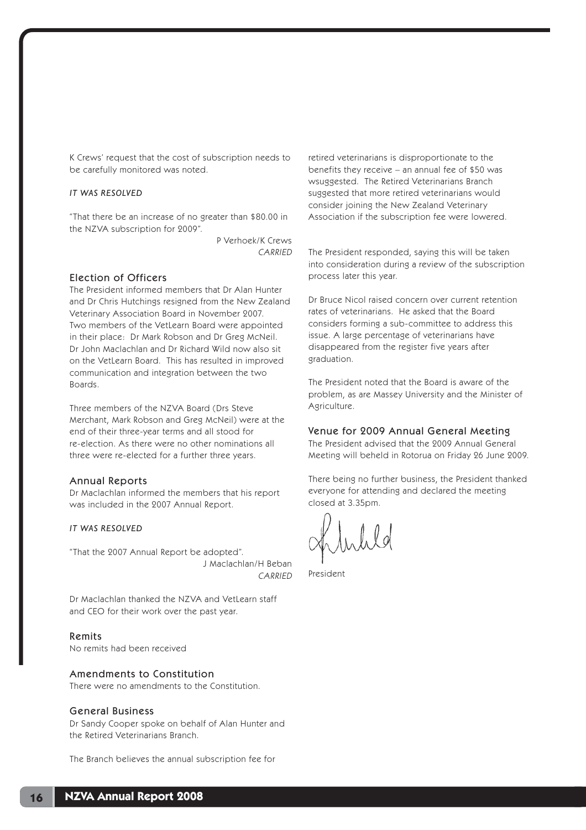K Crews' request that the cost of subscription needs to be carefully monitored was noted.

#### *IT WAS RESOLVED*

"That there be an increase of no greater than \$80.00 in the NZVA subscription for 2009".

> P Verhoek/K Crews **CARRIED**

### Election of Officers

The President informed members that Dr Alan Hunter and Dr Chris Hutchings resigned from the New Zealand Veterinary Association Board in November 2007. Two members of the VetLearn Board were appointed in their place: Dr Mark Robson and Dr Greg McNeil. Dr John Maclachlan and Dr Richard Wild now also sit on the VetLearn Board. This has resulted in improved communication and integration between the two Boards.

Three members of the NZVA Board (Drs Steve Merchant, Mark Robson and Greg McNeil) were at the end of their three-year terms and all stood for re-election. As there were no other nominations all three were re-elected for a further three years.

#### Annual Reports

Dr Maclachlan informed the members that his report was included in the 2007 Annual Report.

#### *IT WAS RESOLVED*

"That the 2007 Annual Report be adopted". J Maclachlan/H Beban **CARRIED** 

Dr Maclachlan thanked the NZVA and VetLearn staff and CEO for their work over the past year.

#### Remits

No remits had been received

#### Amendments to Constitution

There were no amendments to the Constitution.

#### General Business

Dr Sandy Cooper spoke on behalf of Alan Hunter and the Retired Veterinarians Branch.

The Branch believes the annual subscription fee for

retired veterinarians is disproportionate to the benefits they receive – an annual fee of \$50 was wsuggested. The Retired Veterinarians Branch suggested that more retired veterinarians would consider joining the New Zealand Veterinary Association if the subscription fee were lowered.

The President responded, saying this will be taken into consideration during a review of the subscription process later this year.

Dr Bruce Nicol raised concern over current retention rates of veterinarians. He asked that the Board considers forming a sub-committee to address this issue. A large percentage of veterinarians have disappeared from the register five years after graduation.

The President noted that the Board is aware of the problem, as are Massey University and the Minister of Agriculture.

#### Venue for 2009 Annual General Meeting

The President advised that the 2009 Annual General Meeting will beheld in Rotorua on Friday 26 June 2009.

There being no further business, the President thanked everyone for attending and declared the meeting closed at 3.35pm.

President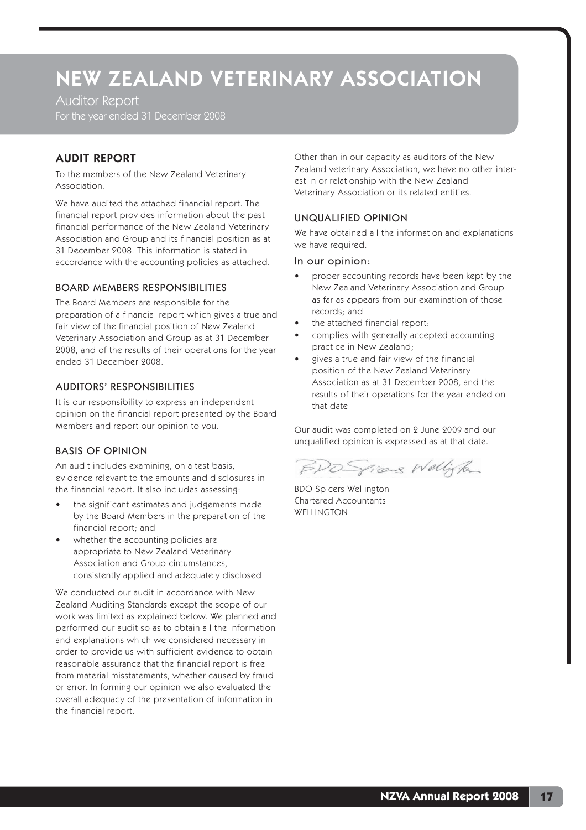Auditor Report For the year ended 31 December 2008

# AUDIT REPORT

To the members of the New Zealand Veterinary Association.

We have audited the attached financial report. The financial report provides information about the past financial performance of the New Zealand Veterinary Association and Group and its financial position as at 31 December 2008. This information is stated in accordance with the accounting policies as attached.

### BOARD MEMBERS RESPONSIBILITIES

The Board Members are responsible for the preparation of a financial report which gives a true and fair view of the financial position of New Zealand Veterinary Association and Group as at 31 December 2008, and of the results of their operations for the year ended 31 December 2008.

## AUDITORS' RESPONSIBILITIES

It is our responsibility to express an independent opinion on the financial report presented by the Board Members and report our opinion to you.

## BASIS OF OPINION

An audit includes examining, on a test basis, evidence relevant to the amounts and disclosures in the financial report. It also includes assessing:

- the significant estimates and judgements made by the Board Members in the preparation of the financial report; and
- whether the accounting policies are appropriate to New Zealand Veterinary Association and Group circumstances, consistently applied and adequately disclosed

We conducted our audit in accordance with New Zealand Auditing Standards except the scope of our work was limited as explained below. We planned and performed our audit so as to obtain all the information and explanations which we considered necessary in order to provide us with sufficient evidence to obtain reasonable assurance that the financial report is free from material misstatements, whether caused by fraud or error. In forming our opinion we also evaluated the overall adequacy of the presentation of information in the financial report.

Other than in our capacity as auditors of the New Zealand veterinary Association, we have no other interest in or relationship with the New Zealand Veterinary Association or its related entities.

#### UNQUALIFIED OPINION

We have obtained all the information and explanations we have required.

#### In our opinion:

- proper accounting records have been kept by the New Zealand Veterinary Association and Group as far as appears from our examination of those records; and
- the attached financial report:
- complies with generally accepted accounting practice in New Zealand;
- gives a true and fair view of the financial position of the New Zealand Veterinary Association as at 31 December 2008, and the results of their operations for the year ended on that date

Our audit was completed on 2 June 2009 and our unqualified opinion is expressed as at that date.

BDO Spices Wellington

BDO Spicers Wellington Chartered Accountants **WELLINGTON**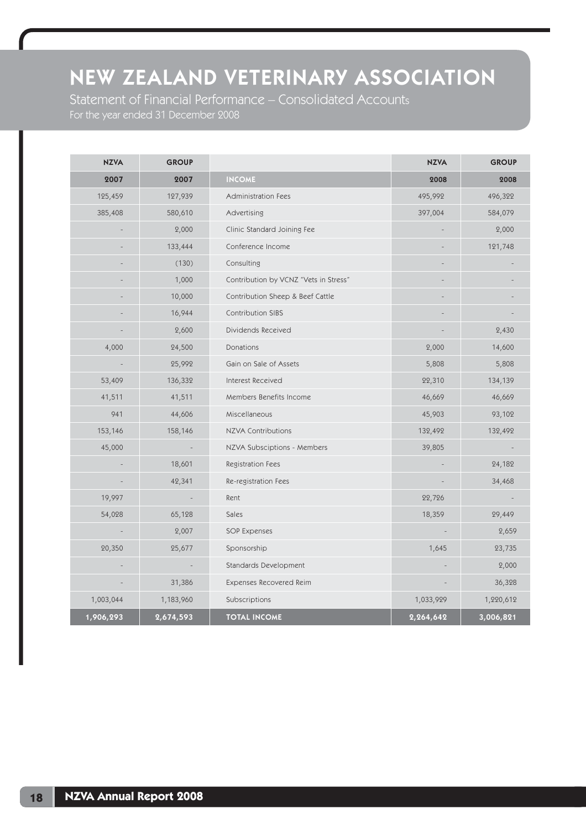Statement of Financial Performance – Consolidated Accounts For the year ended 31 December 2008

| <b>NZVA</b> | <b>GROUP</b> |                                       | <b>NZVA</b>              | <b>GROUP</b> |
|-------------|--------------|---------------------------------------|--------------------------|--------------|
| 2007        | 2007         | <b>INCOME</b>                         | 2008                     | 2008         |
| 125,459     | 127,939      | Administration Fees                   | 495,992                  | 496,322      |
| 385,408     | 580,610      | Advertising                           | 397,004                  | 584,079      |
|             | 2,000        | Clinic Standard Joining Fee           |                          | 2,000        |
|             | 133,444      | Conference Income                     |                          | 121,748      |
|             | (130)        | Consulting                            |                          |              |
|             | 1,000        | Contribution by VCNZ "Vets in Stress" |                          |              |
|             | 10,000       | Contribution Sheep & Beef Cattle      |                          |              |
|             | 16,944       | <b>Contribution SIBS</b>              |                          |              |
|             | 2,600        | Dividends Received                    |                          | 2,430        |
| 4,000       | 24,500       | Donations                             | 2,000                    | 14,600       |
|             | 25,992       | Gain on Sale of Assets                | 5,808                    | 5,808        |
| 53,409      | 136,332      | Interest Received                     | 22,310                   | 134,139      |
| 41,511      | 41,511       | Members Benefits Income               | 46,669                   | 46,669       |
| 941         | 44,606       | Miscellaneous                         | 45,903                   | 93,102       |
| 153,146     | 158,146      | <b>NZVA Contributions</b>             | 132,492                  | 132,492      |
| 45,000      |              | NZVA Subsciptions - Members           | 39,805                   |              |
|             | 18,601       | Registration Fees                     |                          | 24,182       |
|             | 42,341       | Re-registration Fees                  |                          | 34,468       |
| 19,997      |              | Rent                                  | 22,726                   |              |
| 54,028      | 65,128       | Sales                                 | 18,359                   | 29,449       |
|             | 2,007        | SOP Expenses                          | $\overline{\phantom{a}}$ | 2,659        |
| 20,350      | 25,677       | Sponsorship                           | 1,645                    | 23,735       |
|             |              | Standards Development                 |                          | 2,000        |
|             | 31,386       | Expenses Recovered Reim               |                          | 36,328       |
| 1,003,044   | 1,183,960    | Subscriptions                         | 1,033,929                | 1,220,612    |
| 1,906,293   | 2,674,593    | <b>TOTAL INCOME</b>                   | 2,264,642                | 3,006,821    |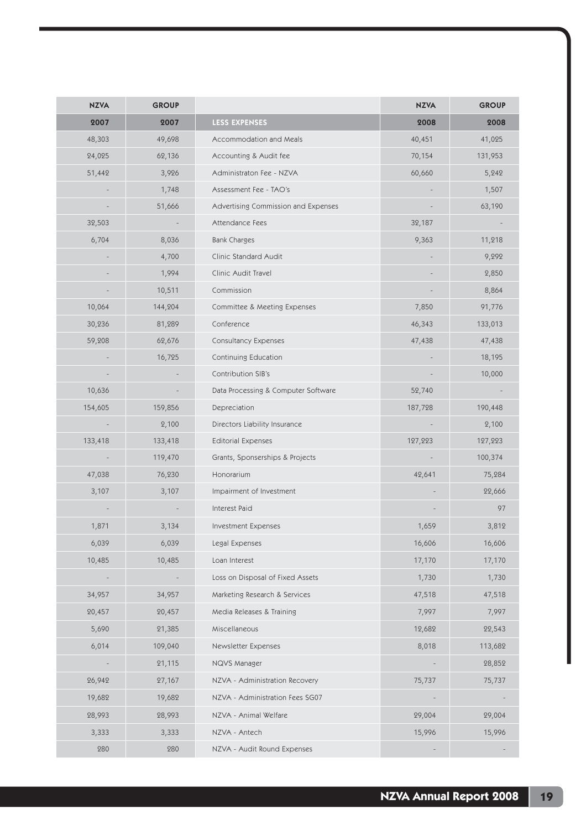| <b>NZVA</b> | <b>GROUP</b> |                                     | <b>NZVA</b> | <b>GROUP</b> |
|-------------|--------------|-------------------------------------|-------------|--------------|
| 2007        | 2007         | <b>LESS EXPENSES</b>                | 2008        | 2008         |
| 48,303      | 49,698       | Accommodation and Meals             | 40,451      | 41,025       |
| 24,025      | 62,136       | Accounting & Audit fee              | 70,154      | 131,953      |
| 51,442      | 3,926        | Administraton Fee - NZVA            | 60,660      | 5,242        |
|             | 1,748        | Assessment Fee - TAO's              |             | 1,507        |
|             | 51,666       | Advertising Commission and Expenses |             | 63,190       |
| 32,503      |              | Attendance Fees                     | 32,187      |              |
| 6,704       | 8,036        | <b>Bank Charges</b>                 | 9,363       | 11,218       |
|             | 4,700        | Clinic Standard Audit               |             | 9,292        |
|             | 1,994        | Clinic Audit Travel                 |             | 2,850        |
|             | 10,511       | Commission                          |             | 8,864        |
| 10,064      | 144,204      | Committee & Meeting Expenses        | 7,850       | 91,776       |
| 30,236      | 81,289       | Conference                          | 46,343      | 133,013      |
| 59,208      | 62,676       | Consultancy Expenses                | 47,438      | 47,438       |
|             | 16,725       | Continuing Education                |             | 18,195       |
|             |              | Contribution SIB's                  |             | 10,000       |
| 10,636      |              | Data Processing & Computer Software | 52,740      |              |
| 154,605     | 159,856      | Depreciation                        | 187,728     | 190,448      |
|             | 2,100        | Directors Liability Insurance       |             | 2,100        |
| 133,418     | 133,418      | <b>Editorial Expenses</b>           | 127,223     | 127,223      |
|             | 119,470      | Grants, Sponserships & Projects     |             | 100,374      |
| 47,038      | 76,230       | Honorarium                          | 42,641      | 75,284       |
| 3,107       | 3,107        | Impairment of Investment            |             | 22,666       |
|             |              | Interest Paid                       |             | 97           |
| 1,871       | 3,134        | Investment Expenses                 | 1,659       | 3,812        |
| 6,039       | 6,039        | Legal Expenses                      | 16,606      | 16,606       |
| 10,485      | 10,485       | Loan Interest                       | 17,170      | 17,170       |
|             |              | Loss on Disposal of Fixed Assets    | 1,730       | 1,730        |
| 34,957      | 34,957       | Marketing Research & Services       | 47,518      | 47,518       |
| 20,457      | 20,457       | Media Releases & Training           | 7,997       | 7,997        |
| 5,690       | 21,385       | Miscellaneous                       | 12,682      | 22,543       |
| 6,014       | 109,040      | Newsletter Expenses                 | 8,018       | 113,682      |
|             | 21,115       | NQVS Manager                        |             | 28,852       |
| 26,942      | 27,167       | NZVA - Administration Recovery      | 75,737      | 75,737       |
| 19,682      | 19,682       | NZVA - Administration Fees SG07     |             |              |
| 28,993      | 28,993       | NZVA - Animal Welfare               | 29,004      | 29,004       |
| 3,333       | 3,333        | NZVA - Antech                       | 15,996      | 15,996       |
| 280         | 280          | NZVA - Audit Round Expenses         |             |              |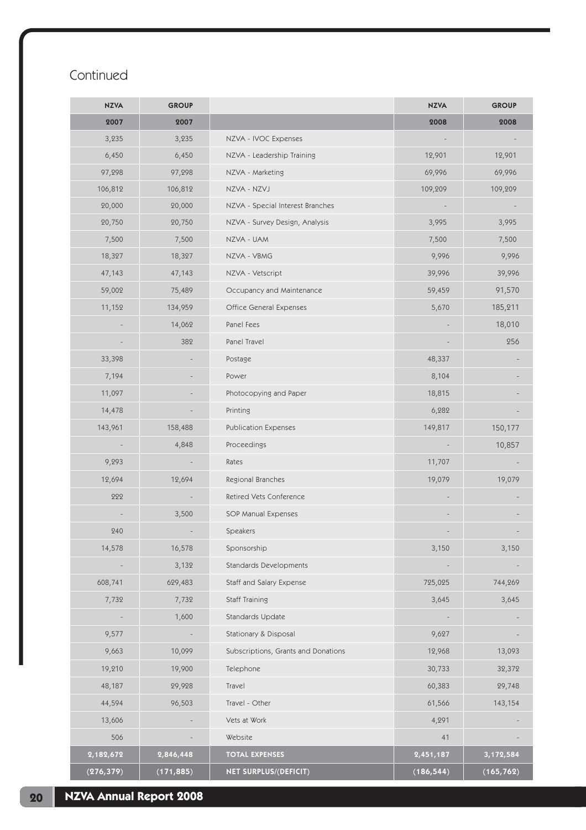# Continued

| <b>NZVA</b> | <b>GROUP</b> |                                     | <b>NZVA</b> | <b>GROUP</b> |
|-------------|--------------|-------------------------------------|-------------|--------------|
| 2007        | 2007         |                                     | 2008        | 2008         |
| 3,235       | 3,235        | NZVA - IVOC Expenses                |             |              |
| 6,450       | 6,450        | NZVA - Leadership Training          | 12,901      | 12,901       |
| 97,298      | 97,298       | NZVA - Marketing                    | 69,996      | 69,996       |
| 106,812     | 106,812      | NZVA - NZVJ                         | 109,209     | 109,209      |
| 20,000      | 20,000       | NZVA - Special Interest Branches    |             |              |
| 20,750      | 20,750       | NZVA - Survey Design, Analysis      | 3,995       | 3,995        |
| 7,500       | 7,500        | NZVA - UAM                          | 7,500       | 7,500        |
| 18,327      | 18,327       | NZVA - VBMG                         | 9,996       | 9,996        |
| 47,143      | 47,143       | NZVA - Vetscript                    | 39,996      | 39,996       |
| 59,002      | 75,489       | Occupancy and Maintenance           | 59,459      | 91,570       |
| 11,152      | 134,959      | Office General Expenses             | 5,670       | 185,211      |
|             | 14,062       | Panel Fees                          |             | 18,010       |
|             | 382          | Panel Travel                        |             | 256          |
| 33,398      |              | Postage                             | 48,337      |              |
| 7,194       |              | Power                               | 8,104       |              |
| 11,097      |              | Photocopying and Paper              | 18,815      |              |
| 14,478      |              | Printing                            | 6,282       |              |
| 143,961     | 158,488      | Publication Expenses                | 149,817     | 150,177      |
|             | 4,848        | Proceedings                         |             | 10,857       |
| 9,293       |              | Rates                               | 11,707      |              |
| 12,694      | 12,694       | Regional Branches                   | 19,079      | 19,079       |
| 222         |              | Retired Vets Conference             |             |              |
|             | 3,500        | SOP Manual Expenses                 |             |              |
| 240         |              | Speakers                            |             |              |
| 14,578      | 16,578       | Sponsorship                         | 3,150       | 3,150        |
|             | 3,132        | Standards Developments              |             |              |
| 608,741     | 629,483      | Staff and Salary Expense            | 725,025     | 744,269      |
| 7,732       | 7,732        | Staff Training                      | 3,645       | 3,645        |
|             | 1,600        | Standards Update                    |             |              |
| 9,577       |              | Stationary & Disposal               | 9,627       |              |
| 9,663       | 10,099       | Subscriptions, Grants and Donations | 12,968      | 13,093       |
| 19,210      | 19,900       | Telephone                           | 30,733      | 32,372       |
| 48,187      | 29,928       | Travel                              | 60,383      | 29,748       |
| 44,594      | 96,503       | Travel - Other                      | 61,566      | 143,154      |
| 13,606      |              | Vets at Work                        | 4,291       |              |
| 506         |              | Website                             | 41          |              |
| 2,182,672   | 2,846,448    | <b>TOTAL EXPENSES</b>               | 2,451,187   | 3,172,584    |
| (276, 379)  | (171, 885)   | NET SURPLUS/(DEFICIT)               | (186, 544)  | (165, 762)   |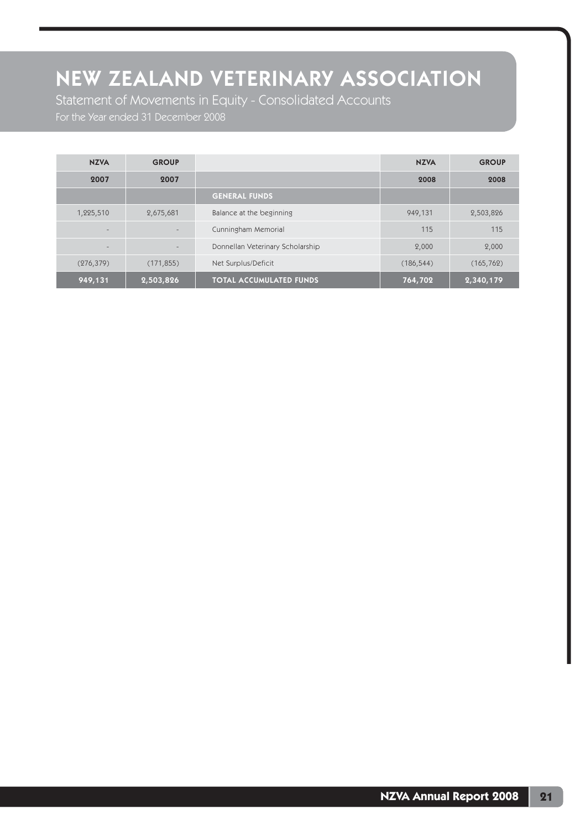Statement of Movements in Equity - Consolidated Accounts For the Year ended 31 December 2008

| <b>NZVA</b>              | <b>GROUP</b>             |                                  | <b>NZVA</b> | <b>GROUP</b> |
|--------------------------|--------------------------|----------------------------------|-------------|--------------|
| 2007                     | 2007                     |                                  | 2008        | 2008         |
|                          |                          | <b>GENERAL FUNDS</b>             |             |              |
| 1,225,510                | 2,675,681                | Balance at the beginning         | 949,131     | 2,503,826    |
| $\overline{\phantom{a}}$ | $\overline{\phantom{a}}$ | Cunningham Memorial              | 115         | 115          |
| $\qquad \qquad$          |                          | Donnellan Veterinary Scholarship | 2,000       | 2,000        |
| (276, 379)               | (171, 855)               | Net Surplus/Deficit              | (186, 544)  | (165, 762)   |
| 949,131                  | 2,503,826                | <b>TOTAL ACCUMULATED FUNDS</b>   | 764,702     | 2,340,179    |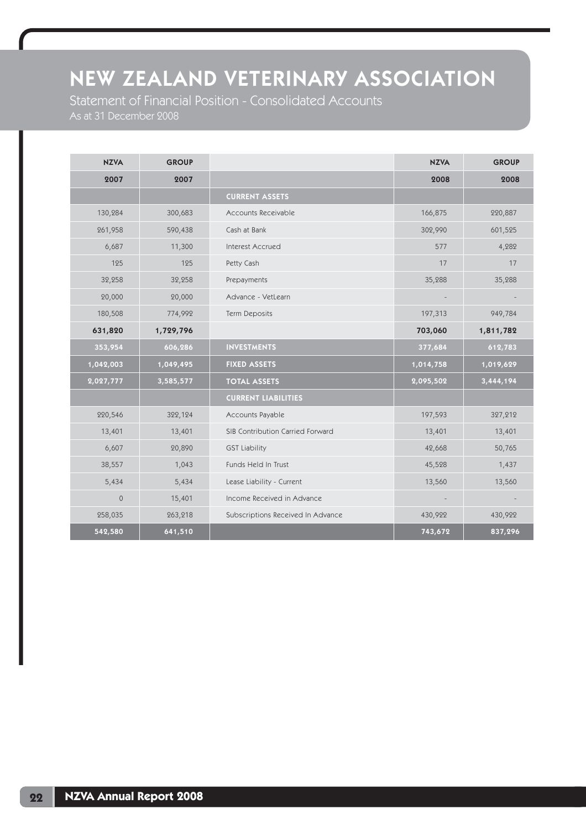Statement of Financial Position - Consolidated Accounts As at 31 December 2008

| <b>NZVA</b>  | <b>GROUP</b> |                                   | <b>NZVA</b> | <b>GROUP</b> |
|--------------|--------------|-----------------------------------|-------------|--------------|
| 2007         | 2007         |                                   | 2008        | 2008         |
|              |              | <b>CURRENT ASSETS</b>             |             |              |
| 130,284      | 300,683      | Accounts Receivable               | 166,875     | 220,887      |
| 261,958      | 590,438      | Cash at Bank                      | 302,990     | 601,525      |
| 6,687        | 11,300       | Interest Accrued                  | 577         | 4,282        |
| 125          | 125          | Petty Cash                        | 17          | 17           |
| 32,258       | 32,258       | Prepayments                       | 35,288      | 35,288       |
| 20,000       | 20,000       | Advance - VetLearn                |             |              |
| 180,508      | 774,992      | Term Deposits                     | 197,313     | 949,784      |
| 631,820      | 1,729,796    |                                   | 703,060     | 1,811,782    |
| 353,954      | 606,286      | <b>INVESTMENTS</b>                | 377,684     | 612,783      |
| 1,042,003    | 1,049,495    | <b>FIXED ASSETS</b>               | 1,014,758   | 1,019,629    |
| 2,027,777    | 3,585,577    | <b>TOTAL ASSETS</b>               | 2,095,502   | 3,444,194    |
|              |              | <b>CURRENT LIABILITIES</b>        |             |              |
| 220,546      | 322,124      | Accounts Payable                  | 197,593     | 327,212      |
| 13,401       | 13,401       | SIB Contribution Carried Forward  | 13,401      | 13,401       |
| 6,607        | 20,890       | <b>GST Liability</b>              | 42,668      | 50,765       |
| 38,557       | 1,043        | Funds Held In Trust               | 45,528      | 1,437        |
| 5,434        | 5,434        | Lease Liability - Current         | 13,560      | 13,560       |
| $\mathbf{0}$ | 15,401       | Income Received in Advance        |             |              |
| 258,035      | 263,218      | Subscriptions Received In Advance | 430,922     | 430,922      |
| 542,580      | 641,510      |                                   | 743,672     | 837,296      |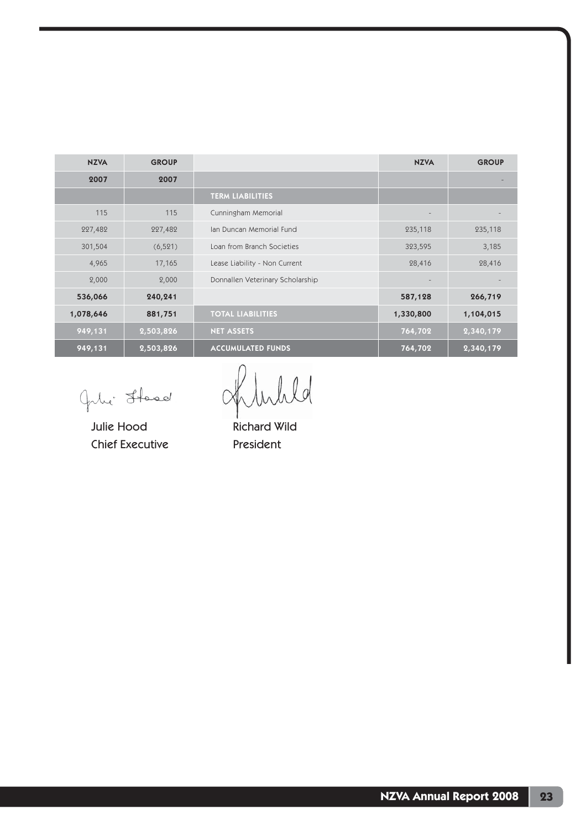| <b>NZVA</b> | <b>GROUP</b> |                                  | <b>NZVA</b>     | <b>GROUP</b> |
|-------------|--------------|----------------------------------|-----------------|--------------|
| 2007        | 2007         |                                  |                 |              |
|             |              | <b>TERM LIABILITIES</b>          |                 |              |
| 115         | 115          | Cunningham Memorial              | $\qquad \qquad$ |              |
| 227,482     | 227,482      | Ian Duncan Memorial Fund         | 235,118         | 235,118      |
| 301,504     | (6, 521)     | Loan from Branch Societies       | 323,595         | 3,185        |
| 4,965       | 17,165       | Lease Liability - Non Current    | 28,416          | 28,416       |
| 2,000       | 2,000        | Donnallen Veterinary Scholarship |                 |              |
| 536,066     | 240,241      |                                  | 587,128         | 266,719      |
| 1,078,646   | 881,751      | <b>TOTAL LIABILITIES</b>         | 1,330,800       | 1,104,015    |
| 949,131     | 2,503,826    | <b>NET ASSETS</b>                | 764,702         | 2,340,179    |
| 949,131     | 2,503,826    | <b>ACCUMULATED FUNDS</b>         | 764,702         | 2,340,179    |

Onlie Staad.

Julie Hood Richard Wild Chief Executive President

ohbulld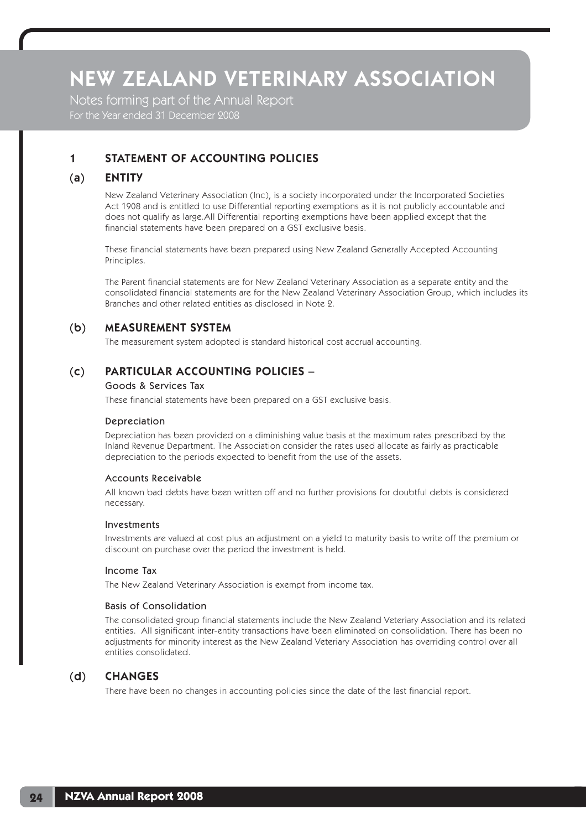Notes forming part of the Annual Report For the Year ended 31 December 2008

# 1 STATEMENT OF ACCOUNTING POLICIES

# (a) ENTITY

 New Zealand Veterinary Association (Inc), is a society incorporated under the Incorporated Societies Act 1908 and is entitled to use Differential reporting exemptions as it is not publicly accountable and does not qualify as large.All Differential reporting exemptions have been applied except that the financial statements have been prepared on a GST exclusive basis.

 These financial statements have been prepared using New Zealand Generally Accepted Accounting Principles.

 The Parent financial statements are for New Zealand Veterinary Association as a separate entity and the consolidated financial statements are for the New Zealand Veterinary Association Group, which includes its Branches and other related entities as disclosed in Note 2.

## (b) MEASUREMENT SYSTEM

The measurement system adopted is standard historical cost accrual accounting.

# (c) PARTICULAR ACCOUNTING POLICIES –

#### Goods & Services Tax

These financial statements have been prepared on a GST exclusive basis.

### Depreciation

 Depreciation has been provided on a diminishing value basis at the maximum rates prescribed by the Inland Revenue Department. The Association consider the rates used allocate as fairly as practicable depreciation to the periods expected to benefit from the use of the assets.

### Accounts Receivable

 All known bad debts have been written off and no further provisions for doubtful debts is considered necessary.

#### Investments

 Investments are valued at cost plus an adjustment on a yield to maturity basis to write off the premium or discount on purchase over the period the investment is held.

#### Income Tax

The New Zealand Veterinary Association is exempt from income tax.

#### Basis of Consolidation

 The consolidated group financial statements include the New Zealand Veteriary Association and its related entities. All significant inter-entity transactions have been eliminated on consolidation. There has been no adjustments for minority interest as the New Zealand Veteriary Association has overriding control over all entities consolidated.

## (d) CHANGES

There have been no changes in accounting policies since the date of the last financial report.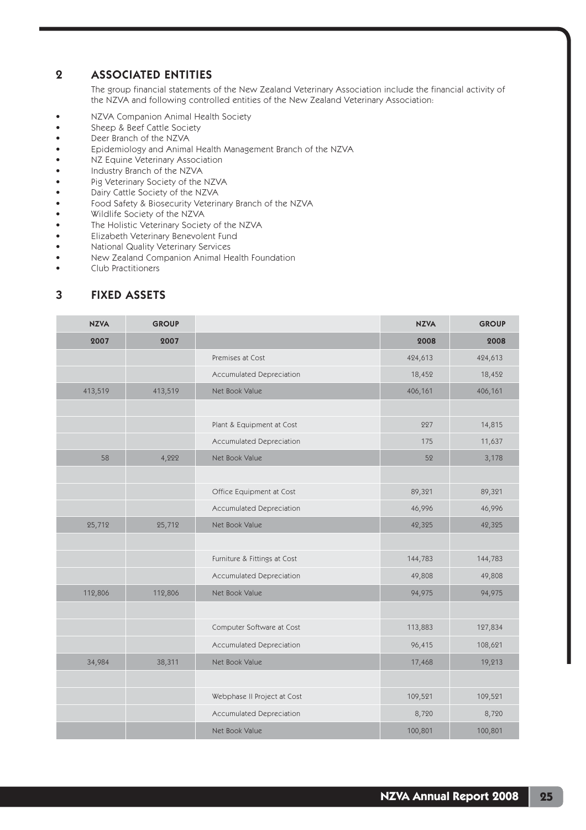## 2 ASSOCIATED ENTITIES

The group financial statements of the New Zealand Veterinary Association include the financial activity of the NZVA and following controlled entities of the New Zealand Veterinary Association:

- NZVA Companion Animal Health Society
- Sheep & Beef Cattle Society
- Deer Branch of the NZVA
- Epidemiology and Animal Health Management Branch of the NZVA
- NZ Equine Veterinary Association
- Industry Branch of the NZVA
- Pig Veterinary Society of the NZVA
- Dairy Cattle Society of the NZVA
- Food Safety & Biosecurity Veterinary Branch of the NZVA
- Wildlife Society of the NZVA
- The Holistic Veterinary Society of the NZVA
- Elizabeth Veterinary Benevolent Fund
- National Quality Veterinary Services
- New Zealand Companion Animal Health Foundation
- Club Practitioners

# 3 FIXED ASSETS

| <b>NZVA</b> | <b>GROUP</b> |                              | <b>NZVA</b> | <b>GROUP</b> |
|-------------|--------------|------------------------------|-------------|--------------|
| 2007        | 2007         |                              | 2008        | 2008         |
|             |              | Premises at Cost             | 424,613     | 424,613      |
|             |              | Accumulated Depreciation     | 18,452      | 18,452       |
| 413,519     | 413,519      | Net Book Value               | 406,161     | 406,161      |
|             |              |                              |             |              |
|             |              | Plant & Equipment at Cost    | 227         | 14,815       |
|             |              | Accumulated Depreciation     | 175         | 11,637       |
| 58          | 4,222        | Net Book Value               | 52          | 3,178        |
|             |              |                              |             |              |
|             |              | Office Equipment at Cost     | 89,321      | 89,321       |
|             |              | Accumulated Depreciation     | 46,996      | 46,996       |
| 25,712      | 25,712       | Net Book Value               | 42,325      | 42,325       |
|             |              |                              |             |              |
|             |              | Furniture & Fittings at Cost | 144,783     | 144,783      |
|             |              | Accumulated Depreciation     | 49,808      | 49,808       |
| 112,806     | 112,806      | Net Book Value               | 94,975      | 94,975       |
|             |              |                              |             |              |
|             |              | Computer Software at Cost    | 113,883     | 127,834      |
|             |              | Accumulated Depreciation     | 96,415      | 108,621      |
| 34,984      | 38,311       | Net Book Value               | 17,468      | 19,213       |
|             |              |                              |             |              |
|             |              | Webphase II Project at Cost  | 109,521     | 109,521      |
|             |              | Accumulated Depreciation     | 8,720       | 8,720        |
|             |              | Net Book Value               | 100,801     | 100,801      |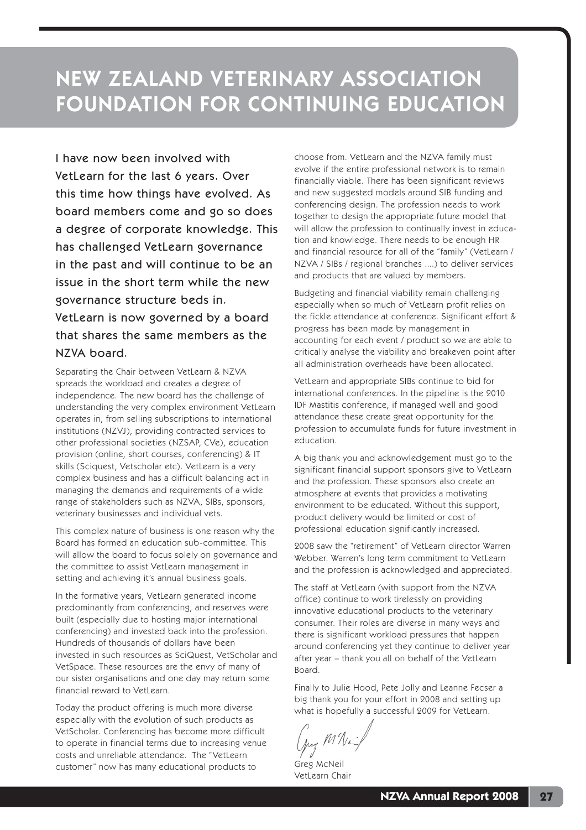I have now been involved with VetLearn for the last 6 years. Over this time how things have evolved. As board members come and go so does a degree of corporate knowledge. This has challenged VetLearn governance in the past and will continue to be an issue in the short term while the new governance structure beds in.

VetLearn is now governed by a board that shares the same members as the NZVA board.

Separating the Chair between VetLearn & NZVA spreads the workload and creates a degree of independence. The new board has the challenge of understanding the very complex environment VetLearn operates in, from selling subscriptions to international institutions (NZVJ), providing contracted services to other professional societies (NZSAP, CVe), education provision (online, short courses, conferencing) & IT skills (Sciquest, Vetscholar etc). VetLearn is a very complex business and has a difficult balancing act in managing the demands and requirements of a wide range of stakeholders such as NZVA, SIBs, sponsors, veterinary businesses and individual vets.

This complex nature of business is one reason why the Board has formed an education sub-committee. This will allow the board to focus solely on governance and the committee to assist VetLearn management in setting and achieving it's annual business goals.

In the formative years, VetLearn generated income predominantly from conferencing, and reserves were built (especially due to hosting major international conferencing) and invested back into the profession. Hundreds of thousands of dollars have been invested in such resources as SciQuest, VetScholar and VetSpace. These resources are the envy of many of our sister organisations and one day may return some financial reward to VetLearn.

Today the product offering is much more diverse especially with the evolution of such products as VetScholar. Conferencing has become more difficult to operate in financial terms due to increasing venue costs and unreliable attendance. The "VetLearn customer" now has many educational products to

choose from. VetLearn and the NZVA family must evolve if the entire professional network is to remain financially viable. There has been significant reviews and new suggested models around SIB funding and conferencing design. The profession needs to work together to design the appropriate future model that will allow the profession to continually invest in education and knowledge. There needs to be enough HR and financial resource for all of the "family" (VetLearn / NZVA / SIBs / regional branches ....) to deliver services and products that are valued by members.

Budgeting and financial viability remain challenging especially when so much of VetLearn profit relies on the fickle attendance at conference. Significant effort & progress has been made by management in accounting for each event / product so we are able to critically analyse the viability and breakeven point after all administration overheads have been allocated.

VetLearn and appropriate SIBs continue to bid for international conferences. In the pipeline is the 2010 IDF Mastitis conference, if managed well and good attendance these create great opportunity for the profession to accumulate funds for future investment in education.

A big thank you and acknowledgement must go to the significant financial support sponsors give to VetLearn and the profession. These sponsors also create an atmosphere at events that provides a motivating environment to be educated. Without this support, product delivery would be limited or cost of professional education significantly increased.

2008 saw the "retirement" of VetLearn director Warren Webber. Warren's long term commitment to VetLearn and the profession is acknowledged and appreciated.

The staff at VetLearn (with support from the NZVA office) continue to work tirelessly on providing innovative educational products to the veterinary consumer. Their roles are diverse in many ways and there is significant workload pressures that happen around conferencing yet they continue to deliver year after year – thank you all on behalf of the VetLearn Board.

Finally to Julie Hood, Pete Jolly and Leanne Fecser a big thank you for your effort in 2008 and setting up what is hopefully a successful 2009 for VetLearn.

Meg M'Nu

Greg McNeil VetLearn Chair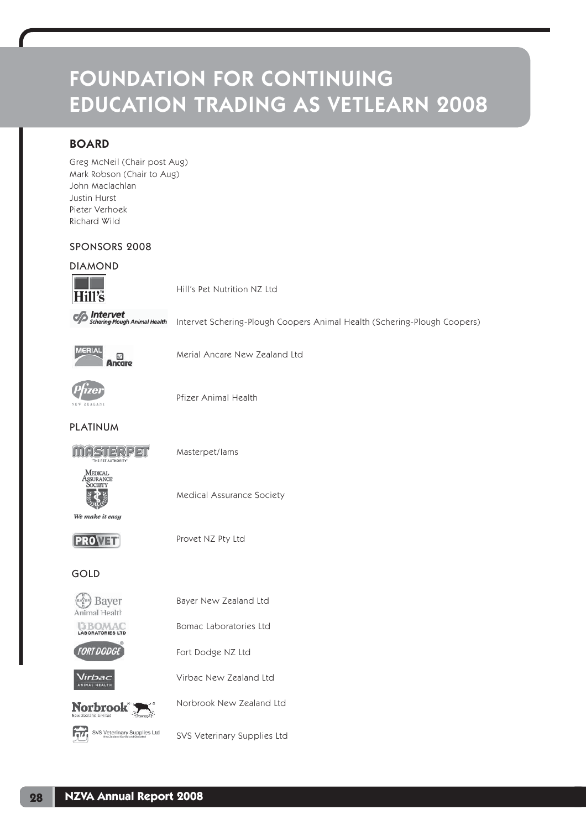# FOUNDATION FOR CONTINUING EDUCATION TRADING AS VETLEARN 2008

# BOARD

Greg McNeil (Chair post Aug) Mark Robson (Chair to Aug) John Maclachlan Justin Hurst Pieter Verhoek Richard Wild

## SPONSORS 2008

## DIAMOND



Hill's Pet Nutrition NZ Ltd

**Schering-Plough Animal Health** 

Intervet Schering-Plough Coopers Animal Health (Schering-Plough Coopers)



Merial Ancare New Zealand Ltd



Pfizer Animal Health

PLATINUM



Masterpet/Iams

MEDICAL<br>Assurance<br>Society

Medical Assurance Society

We make it easy

**PROVER** 

Provet NZ Pty Ltd

GOLD



Bayer New Zealand Ltd

Bomac Laboratories Ltd

**BOMAC** 



Fort Dodge NZ Ltd Virbac New Zealand Ltd



Norbrook New Zealand Ltd

SVS Veterinary Supplies Ltd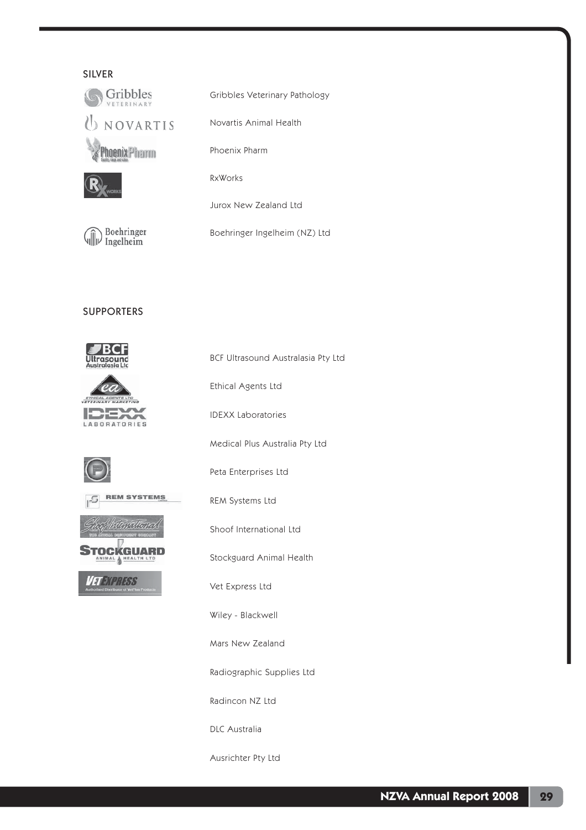## SILVER



Gribbles Veterinary Pathology

Novartis Animal Health

Phoenix Pharm

RxWorks

Jurox New Zealand Ltd

Boehringer Boehringer Ingelheim (NZ) Ltd

SUPPORTERS

(∭) <sup>Boenringe</sup><br>¶∭) Ingelheim



 $rac{ETI}{1}$ IDEXX LABORATORIES







**TEXPRESS** 

BCF Ultrasound Australasia Pty Ltd

Ethical Agents Ltd

IDEXX Laboratories

Medical Plus Australia Pty Ltd

Peta Enterprises Ltd

REM Systems Ltd

Shoof International Ltd

Stockguard Animal Health

Vet Express Ltd

Wiley - Blackwell

Mars New Zealand

Radiographic Supplies Ltd

Radincon NZ Ltd

DLC Australia

Ausrichter Pty Ltd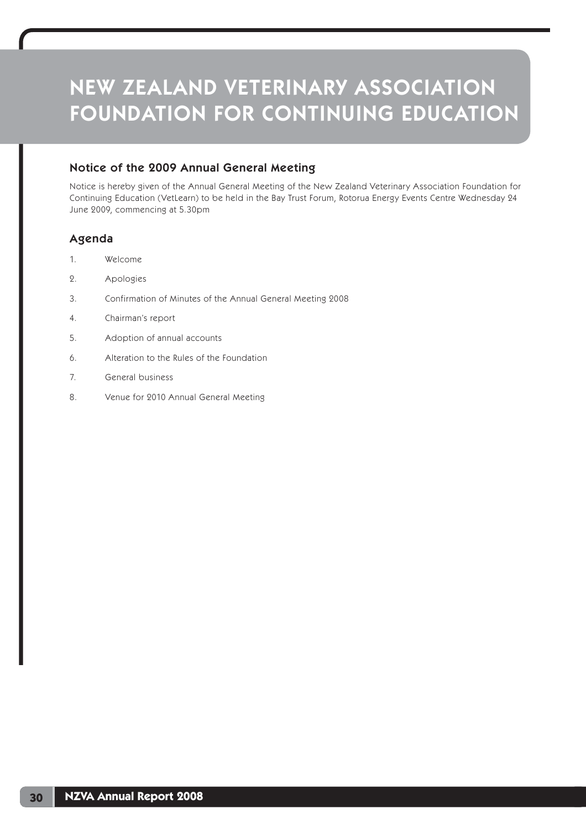# Notice of the 2009 Annual General Meeting

Notice is hereby given of the Annual General Meeting of the New Zealand Veterinary Association Foundation for Continuing Education (VetLearn) to be held in the Bay Trust Forum, Rotorua Energy Events Centre Wednesday 24 June 2009, commencing at 5.30pm

## Agenda

- 1. Welcome
- 2. Apologies
- 3. Confirmation of Minutes of the Annual General Meeting 2008
- 4. Chairman's report
- 5. Adoption of annual accounts
- 6. Alteration to the Rules of the Foundation
- 7. General business
- 8. Venue for 2010 Annual General Meeting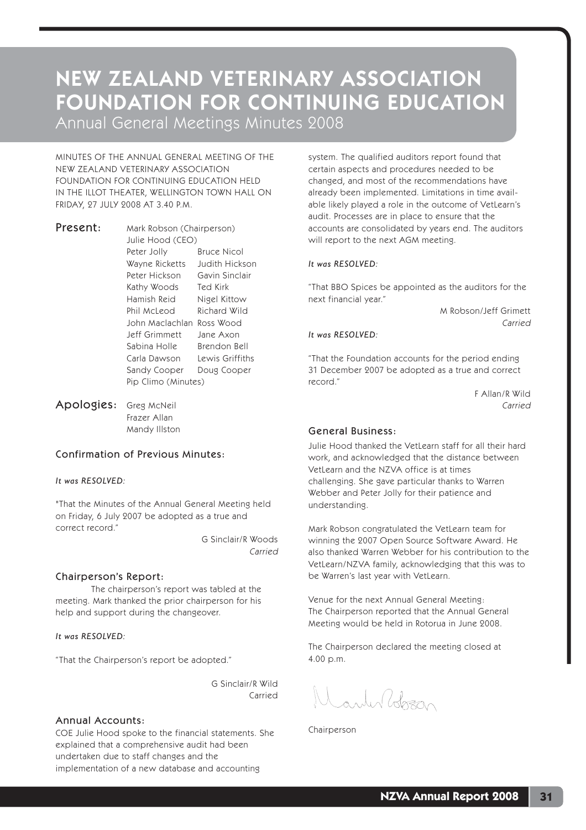Annual General Meetings Minutes 2008

MINUTES OF THE ANNUAL GENERAL MEETING OF THE NEW ZEALAND VETERINARY ASSOCIATION FOUNDATION FOR CONTINUING EDUCATION HELD IN THE ILLOT THEATER, WELLINGTON TOWN HALL ON FRIDAY, 27 JULY 2008 AT 3.40 P.M.

Present: Mark Robson (Chairperson) Julie Hood (CEO) Peter Jolly Bruce Nicol Wayne Ricketts Judith Hickson Peter Hickson Gavin Sinclair Kathy Woods Ted Kirk Hamish Reid Nigel Kittow Phil McLeod Richard Wild John Maclachlan Ross Wood Jeff Grimmett Jane Axon Sabina Holle Brendon Bell Carla Dawson Lewis Griffiths Sandy Cooper Doug Cooper Pip Climo (Minutes)

Apologies: Greg McNeil Frazer Allan Mandy Illston

## Confirmation of Previous Minutes:

#### *It was RESOLVED:*

"That the Minutes of the Annual General Meeting held on Friday, 6 July 2007 be adopted as a true and correct record."

> G Sinclair/R Woods Carried

#### Chairperson's Report:

 The chairperson's report was tabled at the meeting. Mark thanked the prior chairperson for his help and support during the changeover.

#### *It was RESOLVED:*

"That the Chairperson's report be adopted."

G Sinclair/R Wild Carried

#### Annual Accounts:

COE Julie Hood spoke to the financial statements. She explained that a comprehensive audit had been undertaken due to staff changes and the implementation of a new database and accounting

system. The qualified auditors report found that certain aspects and procedures needed to be changed, and most of the recommendations have already been implemented. Limitations in time available likely played a role in the outcome of VetLearn's audit. Processes are in place to ensure that the accounts are consolidated by years end. The auditors will report to the next AGM meeting.

#### *It was RESOLVED:*

"That BBO Spices be appointed as the auditors for the next financial year."

 M Robson/Jeff Grimett **Carried** Carried

#### *It was RESOLVED:*

"That the Foundation accounts for the period ending 31 December 2007 be adopted as a true and correct record."

> F Allan/R Wild Carried

#### General Business:

Julie Hood thanked the VetLearn staff for all their hard work, and acknowledged that the distance between VetLearn and the NZVA office is at times challenging. She gave particular thanks to Warren Webber and Peter Jolly for their patience and understanding.

Mark Robson congratulated the VetLearn team for winning the 2007 Open Source Software Award. He also thanked Warren Webber for his contribution to the VetLearn/NZVA family, acknowledging that this was to be Warren's last year with VetLearn.

Venue for the next Annual General Meeting: The Chairperson reported that the Annual General Meeting would be held in Rotorua in June 2008.

The Chairperson declared the meeting closed at 4.00 p.m.

Canter Polozzio

Chairperson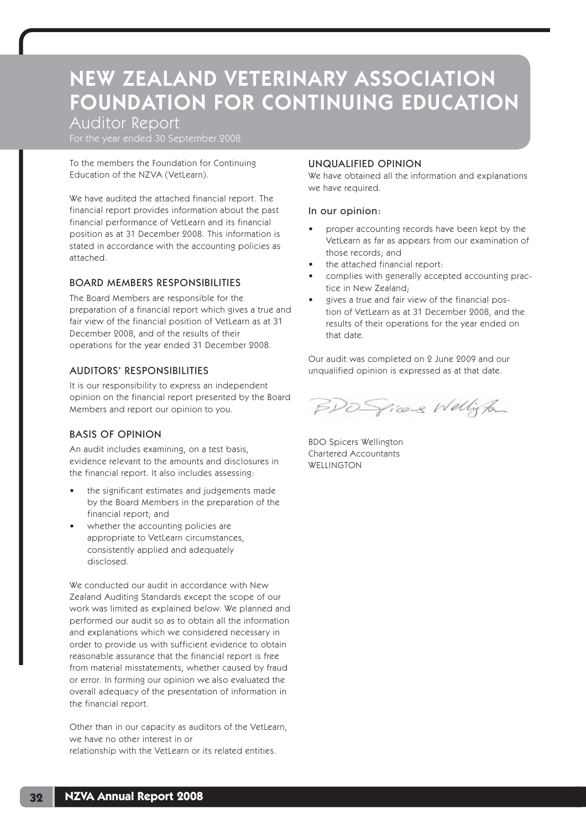Auditor Report

For the year ended 30 September 2008

To the members the Foundation for Continuing Education of the NZVA (VetLearn).

We have audited the attached financial report. The financial report provides information about the past financial performance of VetLearn and its financial position as at 31 December 2008. This information is stated in accordance with the accounting policies as attached.

## BOARD MEMBERS RESPONSIBILITIES

The Board Members are responsible for the preparation of a financial report which gives a true and fair view of the financial position of VetLearn as at 31 December 2008, and of the results of their operations for the year ended 31 December 2008.

## AUDITORS' RESPONSIBILITIES

It is our responsibility to express an independent opinion on the financial report presented by the Board Members and report our opinion to you.

# BASIS OF OPINION

An audit includes examining, on a test basis, evidence relevant to the amounts and disclosures in the financial report. It also includes assessing:

- the significant estimates and judgements made by the Board Members in the preparation of the financial report; and
- whether the accounting policies are appropriate to VetLearn circumstances, consistently applied and adequately disclosed.

We conducted our audit in accordance with New Zealand Auditing Standards except the scope of our work was limited as explained below. We planned and performed our audit so as to obtain all the information and explanations which we considered necessary in order to provide us with sufficient evidence to obtain reasonable assurance that the financial report is free from material misstatements, whether caused by fraud or error. In forming our opinion we also evaluated the overall adequacy of the presentation of information in the financial report.

Other than in our capacity as auditors of the VetLearn, we have no other interest in or relationship with the VetLearn or its related entities.

### UNQUALIFIED OPINION

We have obtained all the information and explanations we have required.

### In our opinion:

- proper accounting records have been kept by the VetLearn as far as appears from our examination of those records; and
- the attached financial report:
- complies with generally accepted accounting practice in New Zealand;
- gives a true and fair view of the financial postion of VetLearn as at 31 December 2008, and the results of their operations for the year ended on that date.

Our audit was completed on 2 June 2009 and our unqualified opinion is expressed as at that date.

BDO Spicens Welligton

BDO Spicers Wellington Chartered Accountants **WELLINGTON**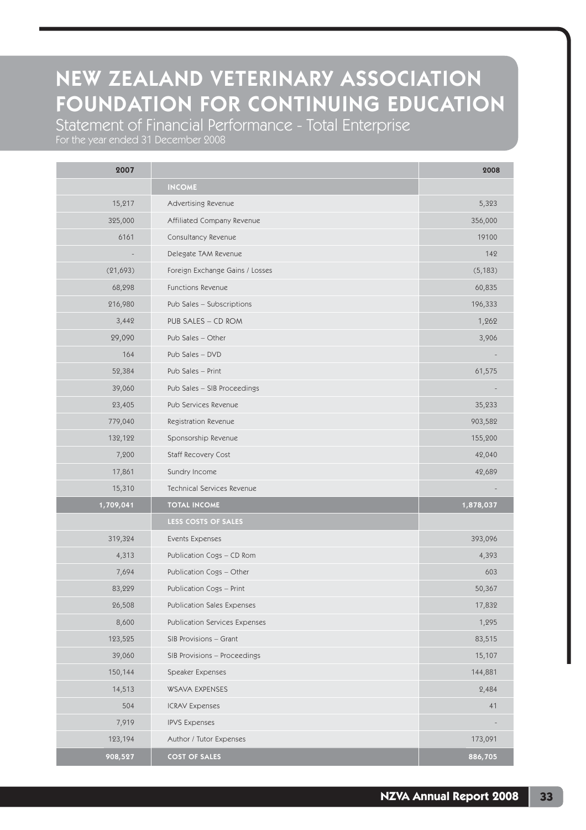Statement of Financial Performance - Total Enterprise

| 2007      |                                 | 2008      |
|-----------|---------------------------------|-----------|
|           | <b>INCOME</b>                   |           |
| 15,217    | Advertising Revenue             | 5,323     |
| 325,000   | Affiliated Company Revenue      | 356,000   |
| 6161      | Consultancy Revenue             | 19100     |
|           | Delegate TAM Revenue            | 142       |
| (21, 693) | Foreign Exchange Gains / Losses | (5, 183)  |
| 68,298    | Functions Revenue               | 60,835    |
| 216,980   | Pub Sales - Subscriptions       | 196,333   |
| 3,442     | PUB SALES - CD ROM              | 1,262     |
| 29,090    | Pub Sales - Other               | 3,906     |
| 164       | Pub Sales - DVD                 |           |
| 52,384    | Pub Sales - Print               | 61,575    |
| 39,060    | Pub Sales - SIB Proceedings     |           |
| 23,405    | Pub Services Revenue            | 35,233    |
| 779,040   | Registration Revenue            | 903,582   |
| 132,122   | Sponsorship Revenue             | 155,200   |
| 7,200     | Staff Recovery Cost             | 42,040    |
| 17,861    | Sundry Income                   | 42,689    |
| 15,310    | Technical Services Revenue      |           |
| 1,709,041 | <b>TOTAL INCOME</b>             | 1,878,037 |
|           | LESS COSTS OF SALES             |           |
| 319,324   | Events Expenses                 | 393,096   |
| 4,313     | Publication Cogs - CD Rom       | 4,393     |
| 7,694     | Publication Cogs - Other        | 603       |
| 83,229    | Publication Cogs - Print        | 50,367    |
| 26,508    | Publication Sales Expenses      | 17,832    |
| 8,600     | Publication Services Expenses   | 1,295     |
| 123,525   | SIB Provisions - Grant          | 83,515    |
| 39,060    | SIB Provisions - Proceedings    | 15,107    |
| 150,144   | Speaker Expenses                | 144,881   |
| 14,513    | <b>WSAVA EXPENSES</b>           | 2,484     |
| 504       | <b>ICRAV Expenses</b>           | 41        |
| 7,919     | <b>IPVS Expenses</b>            |           |
| 123,194   | Author / Tutor Expenses         | 173,091   |
| 908,527   | <b>COST OF SALES</b>            | 886,705   |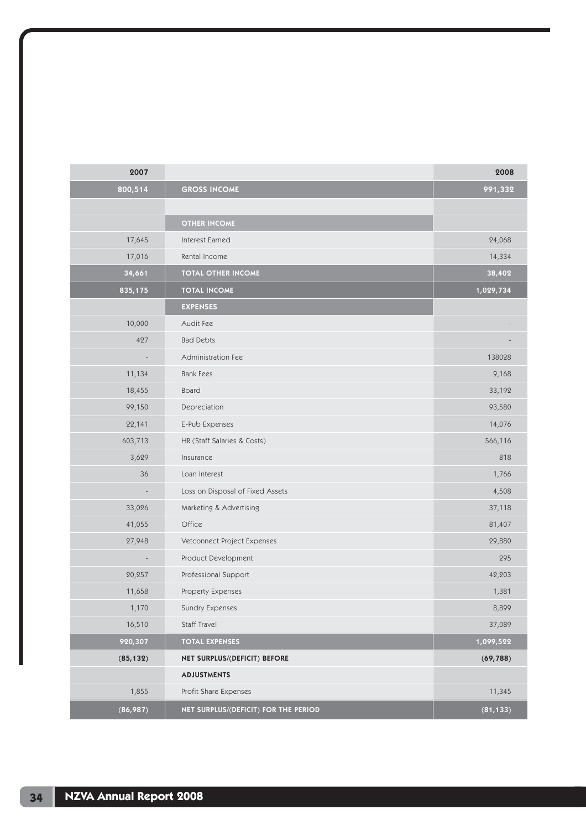| 2007      |                                      | 2008      |
|-----------|--------------------------------------|-----------|
| 800,514   | <b>GROSS INCOME</b>                  | 991,332   |
|           |                                      |           |
|           | <b>OTHER INCOME</b>                  |           |
| 17,645    | Interest Earned                      | 24,068    |
| 17,016    | Rental Income                        | 14,334    |
| 34,661    | <b>TOTAL OTHER INCOME</b>            | 38,402    |
| 835,175   | <b>TOTAL INCOME</b>                  | 1,029,734 |
|           | <b>EXPENSES</b>                      |           |
| 10,000    | Audit Fee                            |           |
| 427       | <b>Bad Debts</b>                     |           |
|           | Administration Fee                   | 138028    |
| 11,134    | <b>Bank Fees</b>                     | 9,168     |
| 18,455    | Board                                | 33,192    |
| 99,150    | Depreciation                         | 93,580    |
| 22,141    | E-Pub Expenses                       | 14,076    |
| 603,713   | HR (Staff Salaries & Costs)          | 566,116   |
| 3,629     | Insurance                            | 818       |
| 36        | Loan Interest                        | 1,766     |
|           | Loss on Disposal of Fixed Assets     | 4,508     |
| 33,026    | Marketing & Advertising              | 37,118    |
| 41,055    | Office                               | 81,407    |
| 27,948    | Vetconnect Project Expenses          | 29,880    |
|           | Product Development                  | 295       |
| 20,257    | Professional Support                 | 42,203    |
| 11,658    | Property Expenses                    | 1,381     |
| 1,170     | Sundry Expenses                      | 8,899     |
| 16,510    | Staff Travel                         | 37,089    |
| 920,307   | <b>TOTAL EXPENSES</b>                | 1,099,522 |
| (85, 132) | NET SURPLUS/(DEFICIT) BEFORE         | (69, 788) |
|           | <b>ADJUSTMENTS</b>                   |           |
| 1,855     | Profit Share Expenses                | 11,345    |
| (86,987)  | NET SURPLUS/(DEFICIT) FOR THE PERIOD | (81, 133) |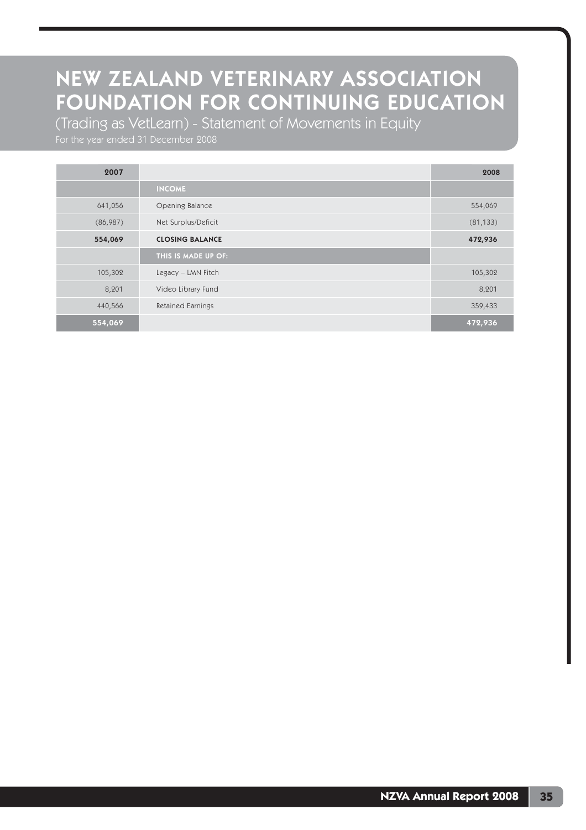(Trading as VetLearn) - Statement of Movements in Equity

For the year ended 31 December 2008

| 2007     |                          | 2008      |
|----------|--------------------------|-----------|
|          | <b>INCOME</b>            |           |
| 641,056  | Opening Balance          | 554,069   |
| (86,987) | Net Surplus/Deficit      | (81, 133) |
| 554,069  | <b>CLOSING BALANCE</b>   | 472,936   |
|          | THIS IS MADE UP OF:      |           |
| 105,302  | Legacy - LMN Fitch       | 105,302   |
| 8,201    | Video Library Fund       | 8,201     |
| 440,566  | <b>Retained Earnings</b> | 359,433   |
| 554,069  |                          | 472,936   |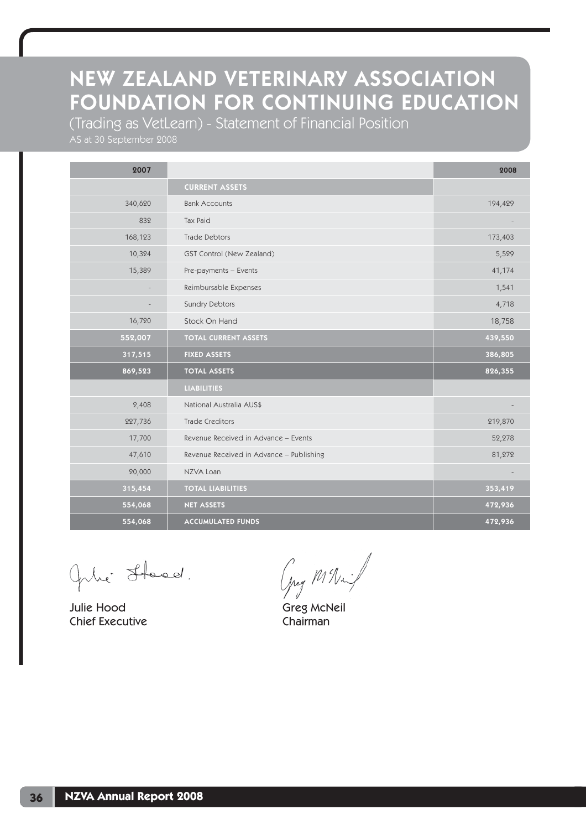(Trading as VetLearn) - Statement of Financial Position

AS at 30 September 2008

| 2007    |                                          | 2008    |
|---------|------------------------------------------|---------|
|         | <b>CURRENT ASSETS</b>                    |         |
| 340,620 | <b>Bank Accounts</b>                     | 194,429 |
| 832     | Tax Paid                                 |         |
| 168,123 | Trade Debtors                            | 173,403 |
| 10,324  | GST Control (New Zealand)                | 5,529   |
| 15,389  | Pre-payments - Events                    | 41,174  |
|         | Reimbursable Expenses                    | 1,541   |
|         | Sundry Debtors                           | 4,718   |
| 16,720  | Stock On Hand                            | 18,758  |
| 552,007 | <b>TOTAL CURRENT ASSETS</b>              | 439,550 |
| 317,515 | <b>FIXED ASSETS</b>                      | 386,805 |
| 869,523 | <b>TOTAL ASSETS</b>                      | 826,355 |
|         | <b>LIABILITIES</b>                       |         |
| 2,408   | National Australia AUS\$                 |         |
| 227,736 | <b>Trade Creditors</b>                   | 219,870 |
| 17,700  | Revenue Received in Advance - Events     | 52,278  |
| 47,610  | Revenue Received in Advance - Publishing | 81,272  |
| 20,000  | NZVA Loan                                |         |
| 315,454 | <b>TOTAL LIABILITIES</b>                 | 353,419 |
| 554,068 | <b>NET ASSETS</b>                        | 472,936 |
| 554,068 | <b>ACCUMULATED FUNDS</b>                 | 472,936 |

Gile Stood.

Julie Hood Greg McNeil Chief Executive Chairman

Ong Milled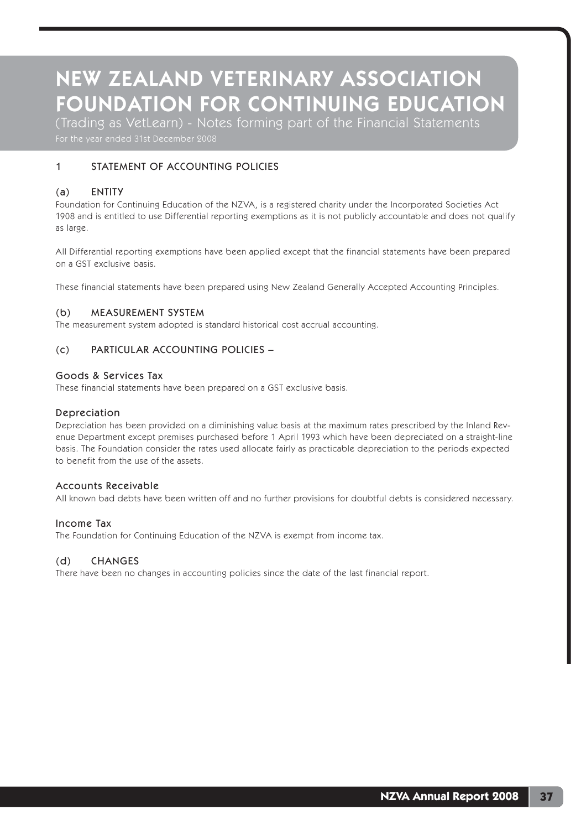(Trading as VetLearn) - Notes forming part of the Financial Statements

## 1 STATEMENT OF ACCOUNTING POLICIES

### (a) ENTITY

Foundation for Continuing Education of the NZVA, is a registered charity under the Incorporated Societies Act 1908 and is entitled to use Differential reporting exemptions as it is not publicly accountable and does not qualify as large.

All Differential reporting exemptions have been applied except that the financial statements have been prepared on a GST exclusive basis.

These financial statements have been prepared using New Zealand Generally Accepted Accounting Principles.

#### (b) MEASUREMENT SYSTEM

The measurement system adopted is standard historical cost accrual accounting.

### (c) PARTICULAR ACCOUNTING POLICIES –

#### Goods & Services Tax

These financial statements have been prepared on a GST exclusive basis.

#### Depreciation

Depreciation has been provided on a diminishing value basis at the maximum rates prescribed by the Inland Revenue Department except premises purchased before 1 April 1993 which have been depreciated on a straight-line basis. The Foundation consider the rates used allocate fairly as practicable depreciation to the periods expected to benefit from the use of the assets.

#### Accounts Receivable

All known bad debts have been written off and no further provisions for doubtful debts is considered necessary.

#### Income Tax

The Foundation for Continuing Education of the NZVA is exempt from income tax.

#### (d) CHANGES

There have been no changes in accounting policies since the date of the last financial report.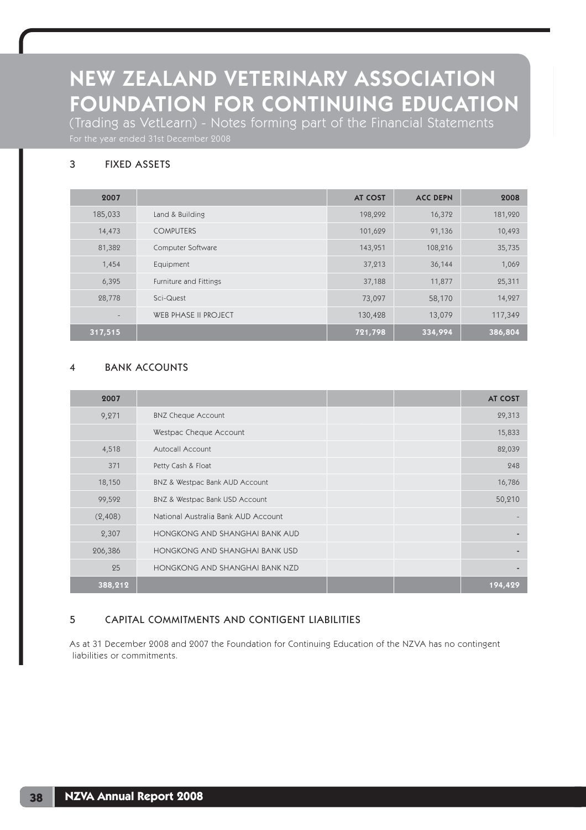(Trading as VetLearn) - Notes forming part of the Financial Statements

## 3 FIXED ASSETS

| 2007              |                             | <b>AT COST</b> | <b>ACC DEPN</b> | 2008    |
|-------------------|-----------------------------|----------------|-----------------|---------|
| 185,033           | Land & Building             | 198,292        | 16,372          | 181,920 |
| 14,473            | <b>COMPUTERS</b>            | 101,629        | 91,136          | 10,493  |
| 81,382            | Computer Software           | 143,951        | 108,216         | 35,735  |
| 1,454             | Equipment                   | 37,213         | 36,144          | 1,069   |
| 6,395             | Furniture and Fittings      | 37,188         | 11,877          | 25,311  |
| 28,778            | Sci-Quest                   | 73,097         | 58,170          | 14,927  |
| $\qquad \qquad -$ | <b>WEB PHASE II PROJECT</b> | 130,428        | 13,079          | 117,349 |
| 317,515           |                             | 721,798        | 334,994         | 386,804 |

## 4 BANK ACCOUNTS

| 2007    |                                     |  | <b>AT COST</b> |
|---------|-------------------------------------|--|----------------|
| 9,271   | <b>BNZ Cheque Account</b>           |  | 29,313         |
|         | Westpac Cheque Account              |  | 15,833         |
| 4,518   | Autocall Account                    |  | 82,039         |
| 371     | Petty Cash & Float                  |  | 248            |
| 18,150  | BNZ & Westpac Bank AUD Account      |  | 16,786         |
| 99,592  | BNZ & Westpac Bank USD Account      |  | 50,210         |
| (2,408) | National Australia Bank AUD Account |  |                |
| 2,307   | HONGKONG AND SHANGHAI BANK AUD      |  |                |
| 206,386 | HONGKONG AND SHANGHAI BANK USD      |  |                |
| 25      | HONGKONG AND SHANGHAI BANK NZD      |  | -              |
| 388,212 |                                     |  | 194,429        |

## 5 CAPITAL COMMITMENTS AND CONTIGENT LIABILITIES

As at 31 December 2008 and 2007 the Foundation for Continuing Education of the NZVA has no contingent liabilities or commitments.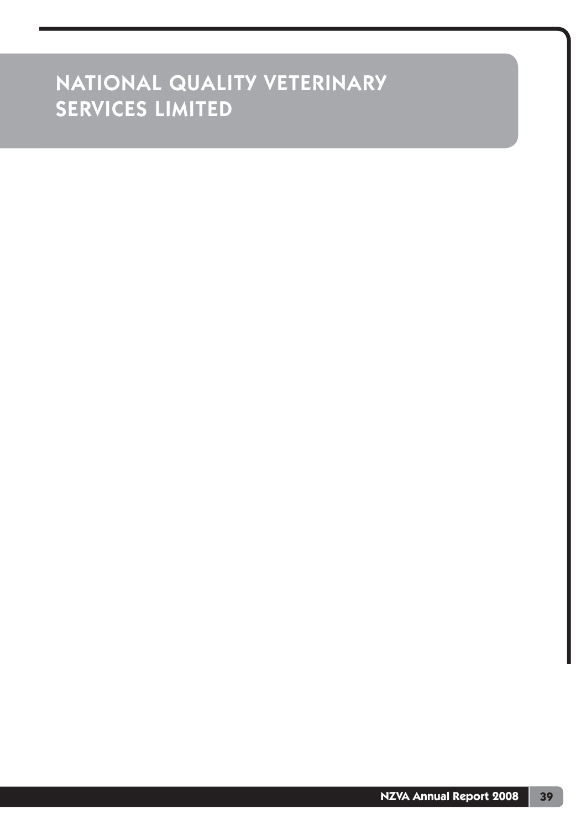# NATIONAL QUALITY VETERINARY SERVICES LIMITED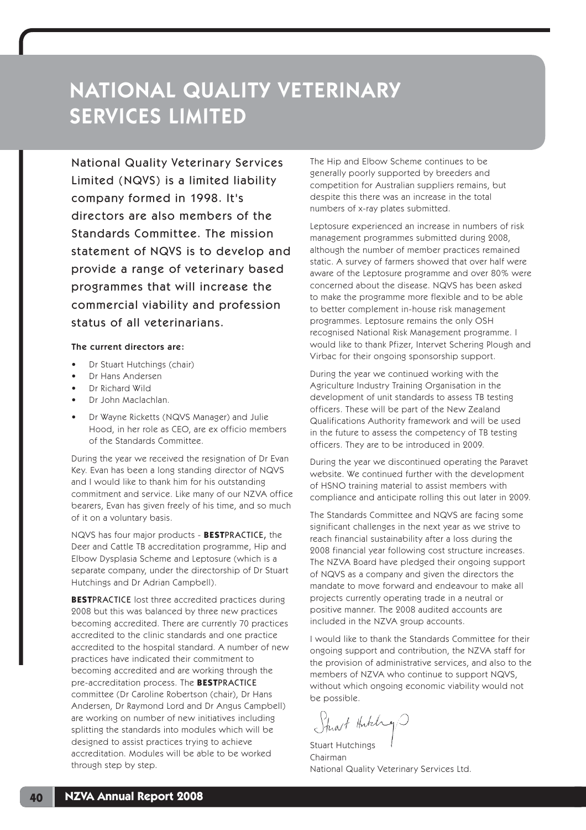# NATIONAL QUALITY VETERINARY SERVICES LIMITED

National Quality Veterinary Services Limited (NQVS) is a limited liability company formed in 1998. It's directors are also members of the Standards Committee. The mission statement of NQVS is to develop and provide a range of veterinary based programmes that will increase the commercial viability and profession status of all veterinarians.

#### The current directors are:

- Dr Stuart Hutchings (chair)
- Dr Hans Andersen
- Dr Richard Wild
- Dr John Maclachlan.
- Dr Wayne Ricketts (NQVS Manager) and Julie Hood, in her role as CEO, are ex officio members of the Standards Committee.

During the year we received the resignation of Dr Evan Key. Evan has been a long standing director of NQVS and I would like to thank him for his outstanding commitment and service. Like many of our NZVA office bearers, Evan has given freely of his time, and so much of it on a voluntary basis.

NQVS has four major products - **BEST**PRACTICE, the Deer and Cattle TB accreditation programme, Hip and Elbow Dysplasia Scheme and Leptosure (which is a separate company, under the directorship of Dr Stuart Hutchings and Dr Adrian Campbell).

**BEST**PRACTICE lost three accredited practices during 2008 but this was balanced by three new practices becoming accredited. There are currently 70 practices accredited to the clinic standards and one practice accredited to the hospital standard. A number of new practices have indicated their commitment to becoming accredited and are working through the pre-accreditation process. The **BEST**PRACTICE committee (Dr Caroline Robertson (chair), Dr Hans Andersen, Dr Raymond Lord and Dr Angus Campbell) are working on number of new initiatives including splitting the standards into modules which will be designed to assist practices trying to achieve accreditation. Modules will be able to be worked through step by step.

The Hip and Elbow Scheme continues to be generally poorly supported by breeders and competition for Australian suppliers remains, but despite this there was an increase in the total numbers of x-ray plates submitted.

Leptosure experienced an increase in numbers of risk management programmes submitted during 2008, although the number of member practices remained static. A survey of farmers showed that over half were aware of the Leptosure programme and over 80% were concerned about the disease. NQVS has been asked to make the programme more flexible and to be able to better complement in-house risk management programmes. Leptosure remains the only OSH recognised National Risk Management programme. I would like to thank Pfizer, Intervet Schering Plough and Virbac for their ongoing sponsorship support.

During the year we continued working with the Agriculture Industry Training Organisation in the development of unit standards to assess TB testing officers. These will be part of the New Zealand Qualifications Authority framework and will be used in the future to assess the competency of TB testing officers. They are to be introduced in 2009.

During the year we discontinued operating the Paravet website. We continued further with the development of HSNO training material to assist members with compliance and anticipate rolling this out later in 2009.

The Standards Committee and NQVS are facing some significant challenges in the next year as we strive to reach financial sustainability after a loss during the 2008 financial year following cost structure increases. The NZVA Board have pledged their ongoing support of NQVS as a company and given the directors the mandate to move forward and endeavour to make all projects currently operating trade in a neutral or positive manner. The 2008 audited accounts are included in the NZVA group accounts.

I would like to thank the Standards Committee for their ongoing support and contribution, the NZVA staff for the provision of administrative services, and also to the members of NZVA who continue to support NQVS, without which ongoing economic viability would not be possible.

Strast Hutching

Stuart Hutchings Chairman National Quality Veterinary Services Ltd.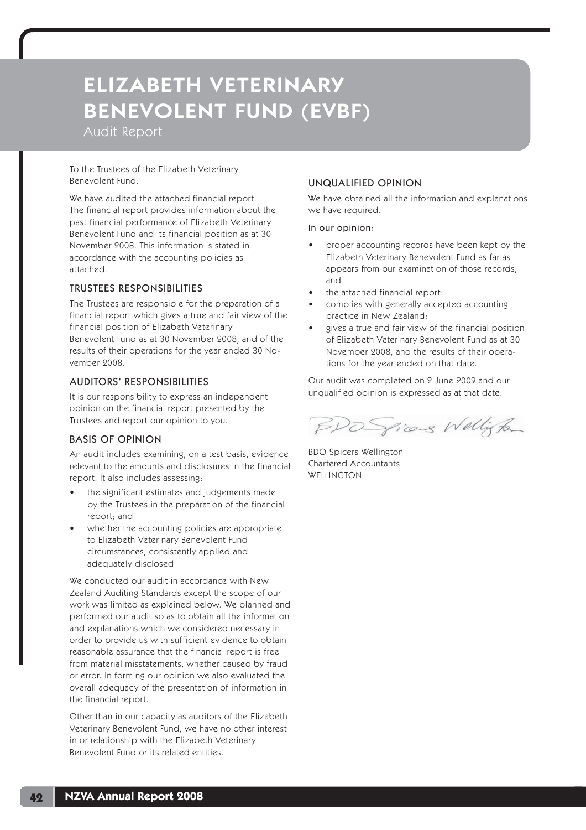Audit Report

To the Trustees of the Elizabeth Veterinary Benevolent Fund.

We have audited the attached financial report. The financial report provides information about the past financial performance of Elizabeth Veterinary Benevolent Fund and its financial position as at 30 November 2008. This information is stated in accordance with the accounting policies as attached.

## TRUSTEES RESPONSIBILITIES

The Trustees are responsible for the preparation of a financial report which gives a true and fair view of the financial position of Elizabeth Veterinary Benevolent Fund as at 30 November 2008, and of the results of their operations for the year ended 30 November 2008.

### AUDITORS' RESPONSIBILITIES

It is our responsibility to express an independent opinion on the financial report presented by the Trustees and report our opinion to you.

## BASIS OF OPINION

An audit includes examining, on a test basis, evidence relevant to the amounts and disclosures in the financial report. It also includes assessing:

- the significant estimates and judgements made by the Trustees in the preparation of the financial report; and
- whether the accounting policies are appropriate to Elizabeth Veterinary Benevolent Fund circumstances, consistently applied and adequately disclosed

We conducted our audit in accordance with New Zealand Auditing Standards except the scope of our work was limited as explained below. We planned and performed our audit so as to obtain all the information and explanations which we considered necessary in order to provide us with sufficient evidence to obtain reasonable assurance that the financial report is free from material misstatements, whether caused by fraud or error. In forming our opinion we also evaluated the overall adequacy of the presentation of information in the financial report.

Other than in our capacity as auditors of the Elizabeth Veterinary Benevolent Fund, we have no other interest in or relationship with the Elizabeth Veterinary Benevolent Fund or its related entities.

## UNQUALIFIED OPINION

We have obtained all the information and explanations we have required.

#### In our opinion:

- proper accounting records have been kept by the Elizabeth Veterinary Benevolent Fund as far as appears from our examination of those records; and
- the attached financial report:
- complies with generally accepted accounting practice in New Zealand;
- gives a true and fair view of the financial position of Elizabeth Veterinary Benevolent Fund as at 30 November 2008, and the results of their operations for the year ended on that date.

Our audit was completed on 2 June 2009 and our unqualified opinion is expressed as at that date.

BDO Spices Wellington

BDO Spicers Wellington Chartered Accountants **WELLINGTON**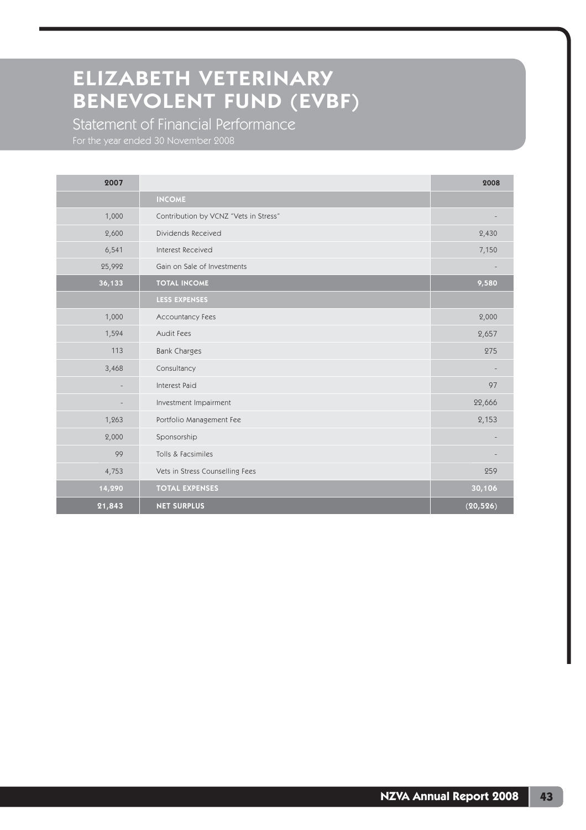Statement of Financial Performance For the year ended 30 November 2008

| 2007   |                                       | 2008      |
|--------|---------------------------------------|-----------|
|        | <b>INCOME</b>                         |           |
| 1,000  | Contribution by VCNZ "Vets in Stress" |           |
| 2,600  | Dividends Received                    | 2,430     |
| 6,541  | Interest Received                     | 7,150     |
| 25,992 | Gain on Sale of Investments           |           |
| 36,133 | <b>TOTAL INCOME</b>                   | 9,580     |
|        | <b>LESS EXPENSES</b>                  |           |
| 1,000  | Accountancy Fees                      | 2,000     |
| 1,594  | Audit Fees                            | 2,657     |
| 113    | <b>Bank Charges</b>                   | 275       |
| 3,468  | Consultancy                           |           |
|        | Interest Paid                         | 97        |
|        | Investment Impairment                 | 22,666    |
| 1,263  | Portfolio Management Fee              | 2,153     |
| 2,000  | Sponsorship                           |           |
| 99     | Tolls & Facsimiles                    |           |
| 4,753  | Vets in Stress Counselling Fees       | 259       |
| 14,290 | <b>TOTAL EXPENSES</b>                 | 30,106    |
| 21,843 | <b>NET SURPLUS</b>                    | (20, 526) |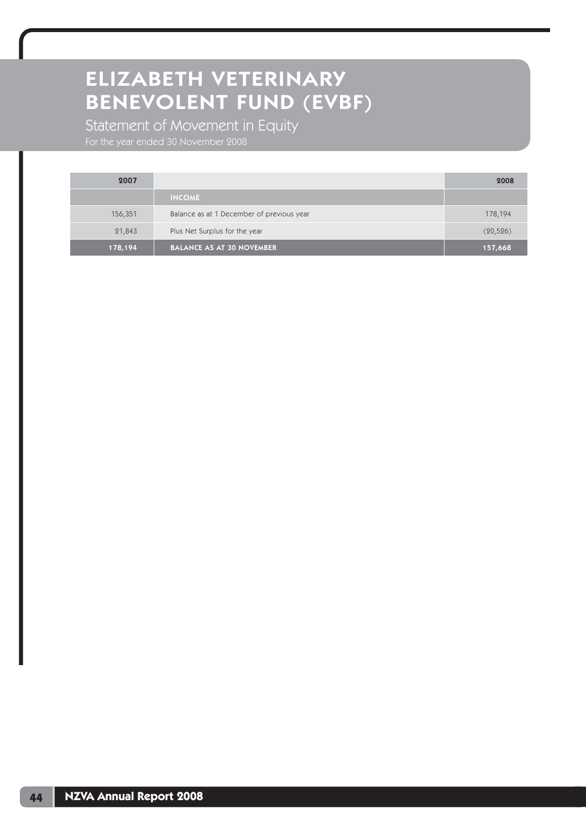Statement of Movement in Equity

For the year ended 30 November 2008

| 2007    |                                           | 2008      |
|---------|-------------------------------------------|-----------|
|         | <b>INCOME</b>                             |           |
| 156,351 | Balance as at 1 December of previous year | 178,194   |
| 21,843  | Plus Net Surplus for the year             | (20, 526) |
| 178,194 | <b>BALANCE AS AT 30 NOVEMBER</b>          | 157,668   |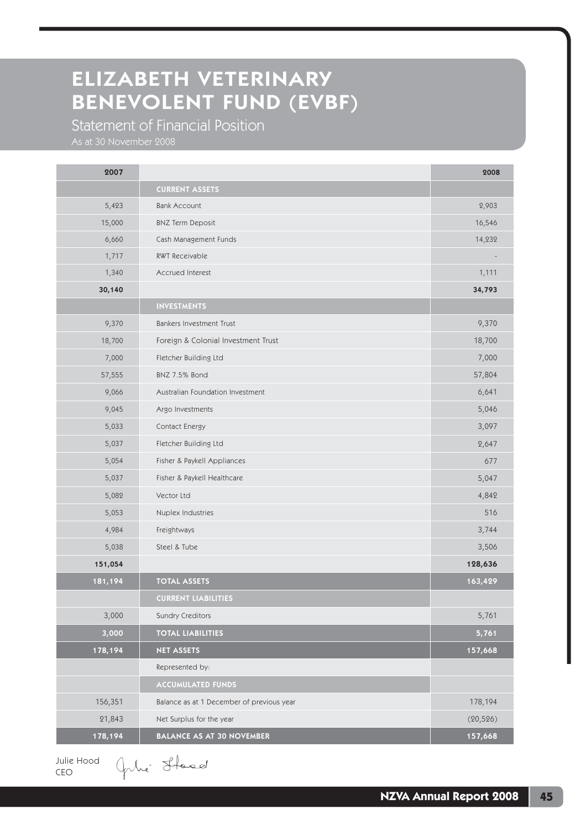Statement of Financial Position

| 2007    |                                           | 2008      |
|---------|-------------------------------------------|-----------|
|         | <b>CURRENT ASSETS</b>                     |           |
| 5,423   | <b>Bank Account</b>                       | 2,903     |
| 15,000  | <b>BNZ Term Deposit</b>                   | 16,546    |
| 6,660   | Cash Management Funds                     | 14,232    |
| 1,717   | RWT Receivable                            |           |
| 1,340   | Accrued Interest                          | 1,111     |
| 30,140  |                                           | 34,793    |
|         | <b>INVESTMENTS</b>                        |           |
| 9,370   | Bankers Investment Trust                  | 9,370     |
| 18,700  | Foreign & Colonial Investment Trust       | 18,700    |
| 7,000   | Fletcher Building Ltd                     | 7,000     |
| 57,555  | BNZ 7.5% Bond                             | 57,804    |
| 9,066   | Australian Foundation Investment          | 6,641     |
| 9,045   | Argo Investments                          | 5,046     |
| 5,033   | Contact Energy                            | 3,097     |
| 5,037   | Fletcher Building Ltd                     | 2,647     |
| 5,054   | Fisher & Paykell Appliances               | 677       |
| 5,037   | Fisher & Paykell Healthcare               | 5,047     |
| 5,082   | Vector Ltd                                | 4,842     |
| 5,053   | Nuplex Industries                         | 516       |
| 4,984   | Freightways                               | 3,744     |
| 5,038   | Steel & Tube                              | 3,506     |
| 151,054 |                                           | 128,636   |
| 181,194 | <b>TOTAL ASSETS</b>                       | 163,429   |
|         | <b>CURRENT LIABILITIES</b>                |           |
| 3,000   | Sundry Creditors                          | 5,761     |
| 3,000   | <b>TOTAL LIABILITIES</b>                  | 5,761     |
| 178,194 | <b>NET ASSETS</b>                         | 157,668   |
|         | Represented by:                           |           |
|         | ACCUMULATED FUNDS                         |           |
| 156,351 | Balance as at 1 December of previous year | 178,194   |
| 21,843  | Net Surplus for the year                  | (20, 526) |
| 178,194 | <b>BALANCE AS AT 30 NOVEMBER</b>          | 157,668   |

Julie Hood CEO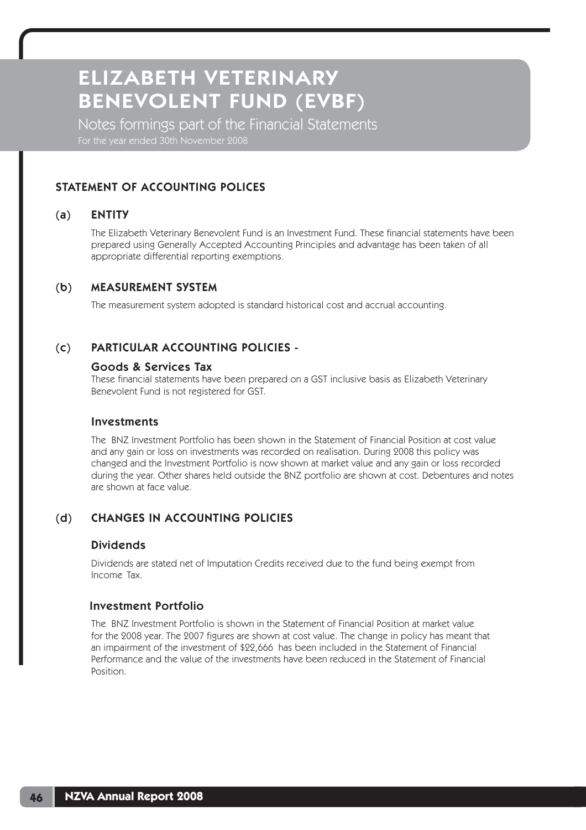Notes formings part of the Financial Statements For the year ended 30th November 2008

# STATEMENT OF ACCOUNTING POLICES

# (a) ENTITY

The Elizabeth Veterinary Benevolent Fund is an Investment Fund. These financial statements have been prepared using Generally Accepted Accounting Principles and advantage has been taken of all appropriate differential reporting exemptions.

# (b) MEASUREMENT SYSTEM

The measurement system adopted is standard historical cost and accrual accounting.

# (c) PARTICULAR ACCOUNTING POLICIES -

## Goods & Services Tax

These financial statements have been prepared on a GST inclusive basis as Elizabeth Veterinary Benevolent Fund is not registered for GST.

## Investments

 The BNZ Investment Portfolio has been shown in the Statement of Financial Position at cost value and any gain or loss on investments was recorded on realisation. During 2008 this policy was changed and the Investment Portfolio is now shown at market value and any gain or loss recorded during the year. Other shares held outside the BNZ portfolio are shown at cost. Debentures and notes are shown at face value.

# (d) CHANGES IN ACCOUNTING POLICIES

# Dividends

 Dividends are stated net of Imputation Credits received due to the fund being exempt from Income Tax.

## Investment Portfolio

 The BNZ Investment Portfolio is shown in the Statement of Financial Position at market value for the 2008 year. The 2007 figures are shown at cost value. The change in policy has meant that an impairment of the investment of \$22,666 has been included in the Statement of Financial Performance and the value of the investments have been reduced in the Statement of Financial Position.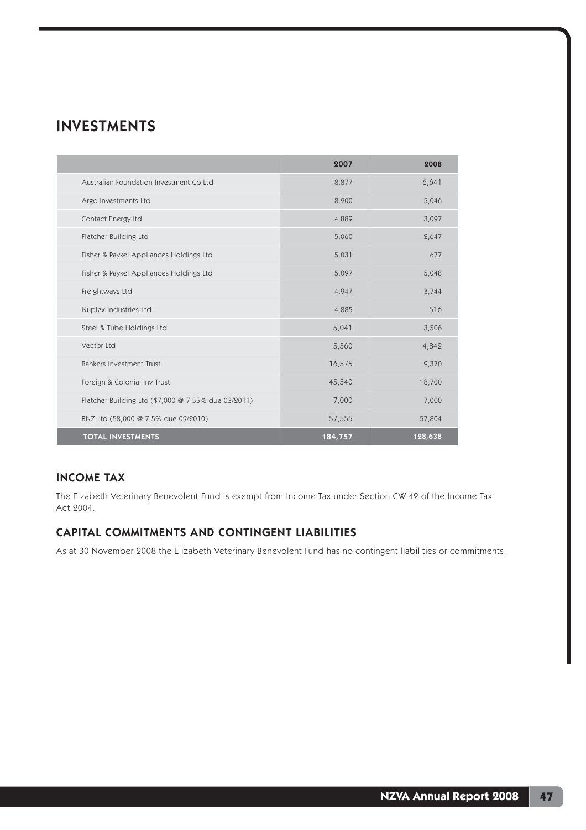# INVESTMENTS

|                                                     | 2007    | 2008    |
|-----------------------------------------------------|---------|---------|
| Australian Foundation Investment Co Ltd             | 8,877   | 6,641   |
| Argo Investments Ltd                                | 8,900   | 5,046   |
| Contact Energy Itd                                  | 4,889   | 3,097   |
| Fletcher Building Ltd                               | 5,060   | 2,647   |
| Fisher & Paykel Appliances Holdings Ltd             | 5,031   | 677     |
| Fisher & Paykel Appliances Holdings Ltd             | 5,097   | 5,048   |
| Freightways Ltd                                     | 4,947   | 3,744   |
| Nuplex Industries Ltd                               | 4,885   | 516     |
| Steel & Tube Holdings Ltd                           | 5,041   | 3,506   |
| Vector Ltd                                          | 5,360   | 4,842   |
| Bankers Investment Trust                            | 16,575  | 9,370   |
| Foreign & Colonial Inv Trust                        | 45,540  | 18,700  |
| Fletcher Building Ltd (\$7,000 @ 7.55% due 03/2011) | 7,000   | 7,000   |
| BNZ Ltd (58,000 @ 7.5% due 09/2010)                 | 57,555  | 57,804  |
| <b>TOTAL INVESTMENTS</b>                            | 184,757 | 128,638 |

# INCOME TAX

The Eizabeth Veterinary Benevolent Fund is exempt from Income Tax under Section CW 42 of the Income Tax Act 2004.

# CAPITAL COMMITMENTS AND CONTINGENT LIABILITIES

As at 30 November 2008 the Elizabeth Veterinary Benevolent Fund has no contingent liabilities or commitments.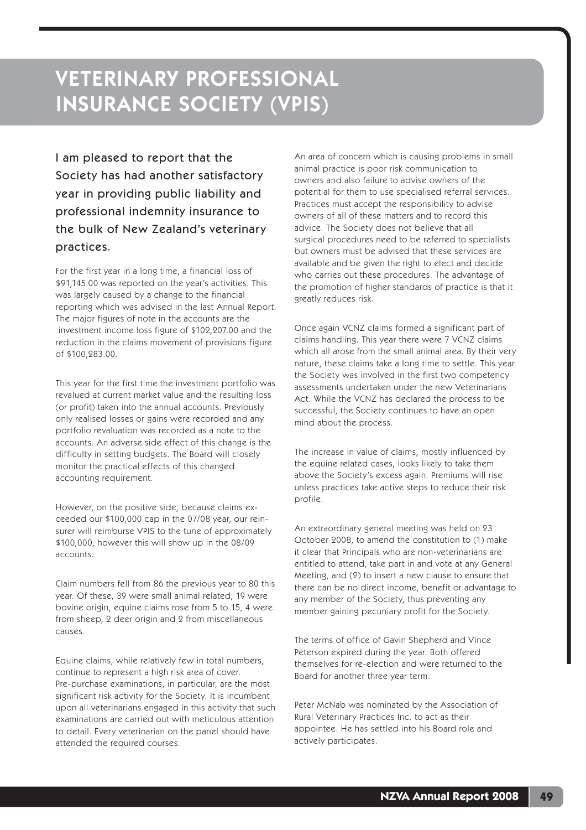I am pleased to report that the Society has had another satisfactory year in providing public liability and professional indemnity insurance to the bulk of New Zealand's veterinary practices.

For the first year in a long time, a financial loss of \$91,145.00 was reported on the year's activities. This was largely caused by a change to the financial reporting which was advised in the last Annual Report. The major figures of note in the accounts are the investment income loss figure of \$102,207.00 and the reduction in the claims movement of provisions figure of \$100,283.00.

This year for the first time the investment portfolio was revalued at current market value and the resulting loss (or profit) taken into the annual accounts. Previously only realised losses or gains were recorded and any portfolio revaluation was recorded as a note to the accounts. An adverse side effect of this change is the difficulty in setting budgets. The Board will closely monitor the practical effects of this changed accounting requirement.

However, on the positive side, because claims exceeded our \$100,000 cap in the 07/08 year, our reinsurer will reimburse VPIS to the tune of approximately \$100,000, however this will show up in the 08/09 accounts.

Claim numbers fell from 86 the previous year to 80 this year. Of these, 39 were small animal related, 19 were bovine origin, equine claims rose from 5 to 15, 4 were from sheep, 2 deer origin and 2 from miscellaneous causes.

Equine claims, while relatively few in total numbers, continue to represent a high risk area of cover. Pre-purchase examinations, in particular, are the most significant risk activity for the Society. It is incumbent upon all veterinarians engaged in this activity that such examinations are carried out with meticulous attention to detail. Every veterinarian on the panel should have attended the required courses.

An area of concern which is causing problems in small animal practice is poor risk communication to owners and also failure to advise owners of the potential for them to use specialised referral services. Practices must accept the responsibility to advise owners of all of these matters and to record this advice. The Society does not believe that all surgical procedures need to be referred to specialists but owners must be advised that these services are available and be given the right to elect and decide who carries out these procedures. The advantage of the promotion of higher standards of practice is that it greatly reduces risk.

Once again VCNZ claims formed a significant part of claims handling. This year there were 7 VCNZ claims which all arose from the small animal area. By their very nature, these claims take a long time to settle. This year the Society was involved in the first two competency assessments undertaken under the new Veterinarians Act. While the VCNZ has declared the process to be successful, the Society continues to have an open mind about the process.

The increase in value of claims, mostly influenced by the equine related cases, looks likely to take them above the Society's excess again. Premiums will rise unless practices take active steps to reduce their risk profile.

An extraordinary general meeting was held on 23 October 2008, to amend the constitution to (1) make it clear that Principals who are non-veterinarians are entitled to attend, take part in and vote at any General Meeting, and (2) to insert a new clause to ensure that there can be no direct income, benefit or advantage to any member of the Society, thus preventing any member gaining pecuniary profit for the Society.

The terms of office of Gavin Shepherd and Vince Peterson expired during the year. Both offered themselves for re-election and were returned to the Board for another three year term.

Peter McNab was nominated by the Association of Rural Veterinary Practices Inc. to act as their appointee. He has settled into his Board role and actively participates.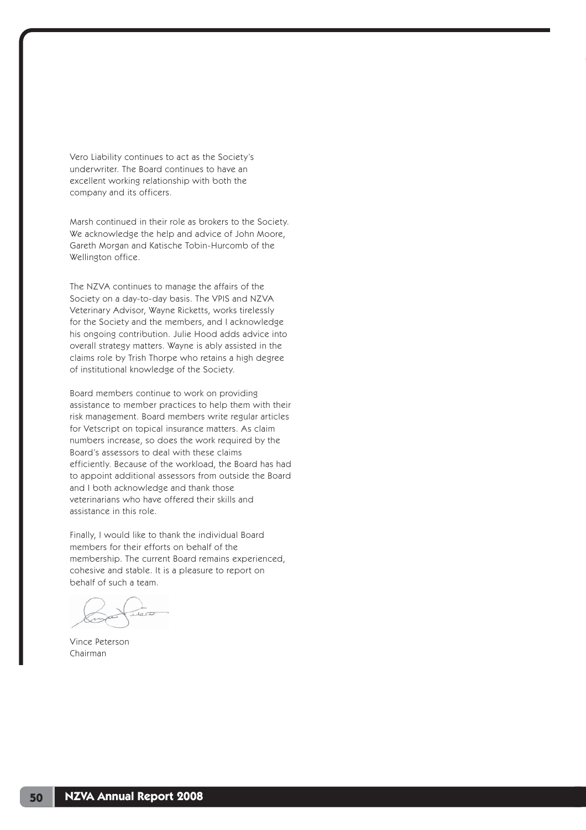Vero Liability continues to act as the Society's underwriter. The Board continues to have an excellent working relationship with both the company and its officers.

Marsh continued in their role as brokers to the Society. We acknowledge the help and advice of John Moore, Gareth Morgan and Katische Tobin-Hurcomb of the Wellington office.

The NZVA continues to manage the affairs of the Society on a day-to-day basis. The VPIS and NZVA Veterinary Advisor, Wayne Ricketts, works tirelessly for the Society and the members, and I acknowledge his ongoing contribution. Julie Hood adds advice into overall strategy matters. Wayne is ably assisted in the claims role by Trish Thorpe who retains a high degree of institutional knowledge of the Society.

Board members continue to work on providing assistance to member practices to help them with their risk management. Board members write regular articles for Vetscript on topical insurance matters. As claim numbers increase, so does the work required by the Board's assessors to deal with these claims efficiently. Because of the workload, the Board has had to appoint additional assessors from outside the Board and I both acknowledge and thank those veterinarians who have offered their skills and assistance in this role.

Finally, I would like to thank the individual Board members for their efforts on behalf of the membership. The current Board remains experienced, cohesive and stable. It is a pleasure to report on behalf of such a team.

Vince Peterson Chairman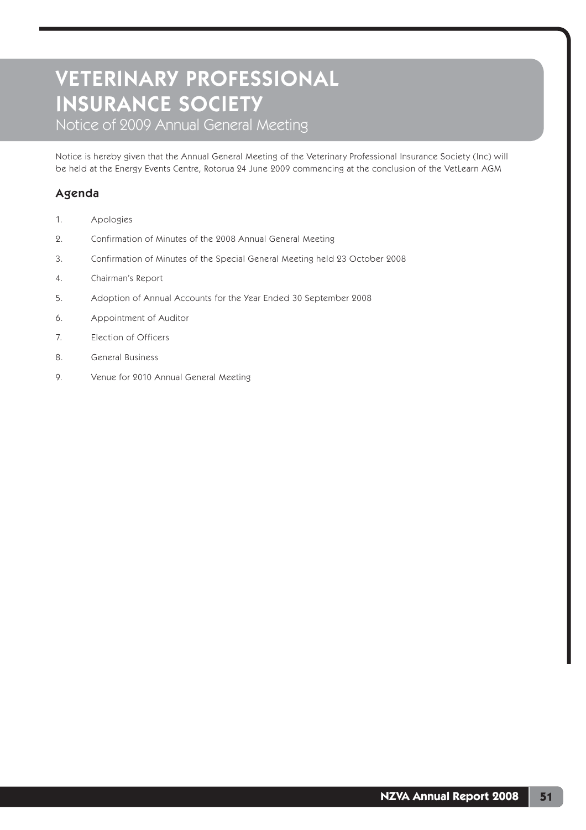Notice of 2009 Annual General Meeting

Notice is hereby given that the Annual General Meeting of the Veterinary Professional Insurance Society (Inc) will be held at the Energy Events Centre, Rotorua 24 June 2009 commencing at the conclusion of the VetLearn AGM

# Agenda

- 1. Apologies
- 2. Confirmation of Minutes of the 2008 Annual General Meeting
- 3. Confirmation of Minutes of the Special General Meeting held 23 October 2008
- 4. Chairman's Report
- 5. Adoption of Annual Accounts for the Year Ended 30 September 2008
- 6. Appointment of Auditor
- 7. Election of Officers
- 8. General Business
- 9. Venue for 2010 Annual General Meeting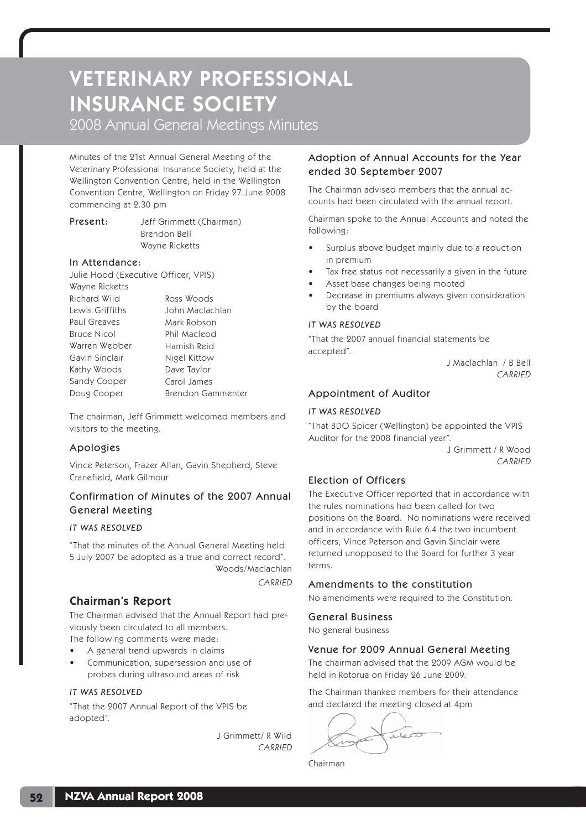2008 Annual General Meetings Minutes

Minutes of the 21st Annual General Meeting of the Veterinary Professional Insurance Society, held at the Wellington Convention Centre, held in the Wellington Convention Centre, Wellington on Friday 27 June 2008 commencing at 2.30 pm

Present: Jeff Grimmett (Chairman) Brendon Bell Wayne Ricketts

#### In Attendance:

Julie Hood (Executive Officer, VPIS) Wayne Ricketts Richard Wild Lewis Griffiths Paul Greaves Bruce Nicol Warren Webber Gavin Sinclair Kathy Woods Sandy Cooper Doug Cooper Ross Woods John Maclachlan Mark Robson Phil Macleod Hamish Reid Nigel Kittow Dave Taylor Carol James Brendon Gammenter

The chairman, Jeff Grimmett welcomed members and visitors to the meeting.

## Apologies

Vince Peterson, Frazer Allan, Gavin Shepherd, Steve Cranefield, Mark Gilmour

# Confirmation of Minutes of the 2007 Annual General Meeting

### *IT WAS RESOLVED*

"That the minutes of the Annual General Meeting held 5 July 2007 be adopted as a true and correct record". Woods/Maclachlan

**CARRIED** 

# Chairman's Report

The Chairman advised that the Annual Report had previously been circulated to all members.

The following comments were made: • A general trend upwards in claims

• Communication, supersession and use of probes during ultrasound areas of risk

### *IT WAS RESOLVED*

"That the 2007 Annual Report of the VPIS be adopted".

> J Grimmett/ R Wild **CARRIED**

## Adoption of Annual Accounts for the Year ended 30 September 2007

The Chairman advised members that the annual accounts had been circulated with the annual report.

Chairman spoke to the Annual Accounts and noted the following:

- Surplus above budget mainly due to a reduction in premium
- Tax free status not necessarily a given in the future
- Asset base changes being mooted
- Decrease in premiums always given consideration by the board

### *IT WAS RESOLVED*

"That the 2007 annual financial statements be accepted".

J Maclachlan / B Bell CARRIED

## Appointment of Auditor

#### *IT WAS RESOLVED*

"That BDO Spicer (Wellington) be appointed the VPIS Auditor for the 2008 financial year".

> J Grimmett / R Wood CARRIED

## Election of Officers

The Executive Officer reported that in accordance with the rules nominations had been called for two positions on the Board. No nominations were received and in accordance with Rule 6.4 the two incumbent officers, Vince Peterson and Gavin Sinclair were returned unopposed to the Board for further 3 year terms.

### Amendments to the constitution

No amendments were required to the Constitution.

### General Business

No general business

## Venue for 2009 Annual General Meeting

The chairman advised that the 2009 AGM would be held in Rotorua on Friday 26 June 2009.

The Chairman thanked members for their attendance and declared the meeting closed at 4pm

rieso

Chairman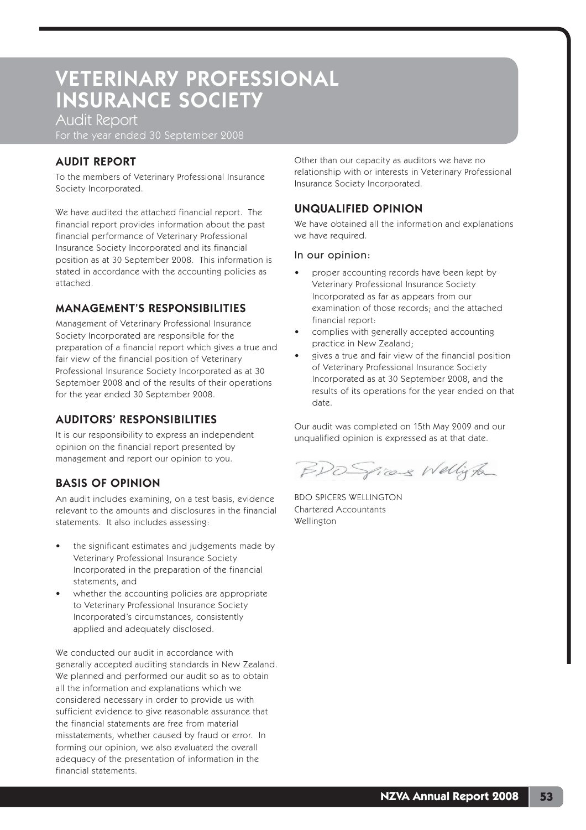Audit Report

For the year ended 30 September 2008

# AUDIT REPORT

To the members of Veterinary Professional Insurance Society Incorporated.

We have audited the attached financial report. The financial report provides information about the past financial performance of Veterinary Professional Insurance Society Incorporated and its financial position as at 30 September 2008. This information is stated in accordance with the accounting policies as attached.

# MANAGEMENT'S RESPONSIBILITIES

Management of Veterinary Professional Insurance Society Incorporated are responsible for the preparation of a financial report which gives a true and fair view of the financial position of Veterinary Professional Insurance Society Incorporated as at 30 September 2008 and of the results of their operations for the year ended 30 September 2008.

# AUDITORS' RESPONSIBILITIES

It is our responsibility to express an independent opinion on the financial report presented by management and report our opinion to you.

# BASIS OF OPINION

An audit includes examining, on a test basis, evidence relevant to the amounts and disclosures in the financial statements. It also includes assessing:

- the significant estimates and judgements made by Veterinary Professional Insurance Society Incorporated in the preparation of the financial statements, and
- whether the accounting policies are appropriate to Veterinary Professional Insurance Society Incorporated's circumstances, consistently applied and adequately disclosed.

We conducted our audit in accordance with generally accepted auditing standards in New Zealand. We planned and performed our audit so as to obtain all the information and explanations which we considered necessary in order to provide us with sufficient evidence to give reasonable assurance that the financial statements are free from material misstatements, whether caused by fraud or error. In forming our opinion, we also evaluated the overall adequacy of the presentation of information in the financial statements.

Other than our capacity as auditors we have no relationship with or interests in Veterinary Professional Insurance Society Incorporated.

# UNQUALIFIED OPINION

We have obtained all the information and explanations we have required.

#### In our opinion:

- proper accounting records have been kept by Veterinary Professional Insurance Society Incorporated as far as appears from our examination of those records; and the attached financial report:
- complies with generally accepted accounting practice in New Zealand;
- gives a true and fair view of the financial position of Veterinary Professional Insurance Society Incorporated as at 30 September 2008, and the results of its operations for the year ended on that date.

Our audit was completed on 15th May 2009 and our unqualified opinion is expressed as at that date.

BDO Spices Wellight

BDO SPICERS WELLINGTON Chartered Accountants Wellington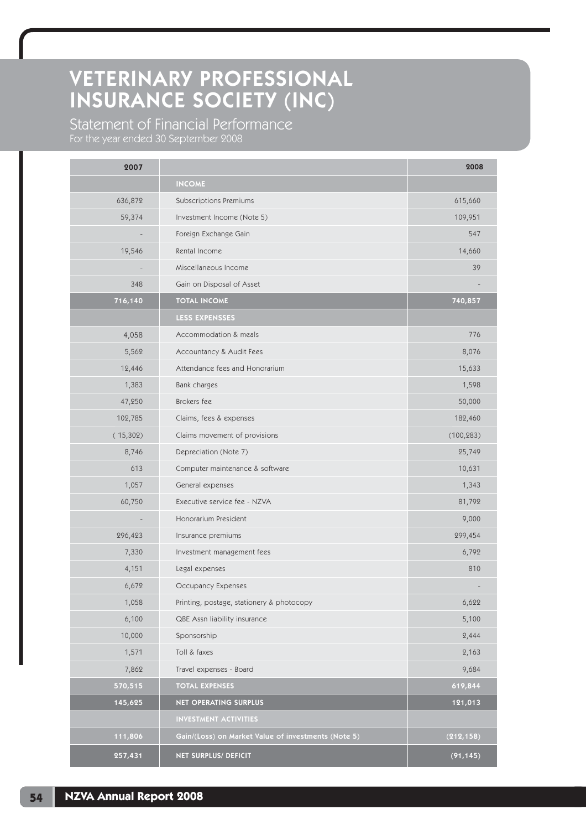Statement of Financial Performance

For the year ended 30 September 2008

| 2007     |                                                     | 2008       |
|----------|-----------------------------------------------------|------------|
|          | <b>INCOME</b>                                       |            |
| 636,872  | Subscriptions Premiums                              | 615,660    |
| 59,374   | Investment Income (Note 5)                          | 109,951    |
|          | Foreign Exchange Gain                               | 547        |
| 19,546   | Rental Income                                       | 14,660     |
|          | Miscellaneous Income                                | 39         |
| 348      | Gain on Disposal of Asset                           |            |
| 716,140  | <b>TOTAL INCOME</b>                                 | 740,857    |
|          | <b>LESS EXPENSSES</b>                               |            |
| 4,058    | Accommodation & meals                               | 776        |
| 5,562    | Accountancy & Audit Fees                            | 8,076      |
| 12,446   | Attendance fees and Honorarium                      | 15,633     |
| 1,383    | Bank charges                                        | 1,598      |
| 47,250   | Brokers fee                                         | 50,000     |
| 102,785  | Claims, fees & expenses                             | 182,460    |
| (15,302) | Claims movement of provisions                       | (100, 283) |
| 8,746    | Depreciation (Note 7)                               | 25,749     |
| 613      | Computer maintenance & software                     | 10,631     |
| 1,057    | General expenses                                    | 1,343      |
| 60,750   | Executive service fee - NZVA                        | 81,792     |
|          | Honorarium President                                | 9,000      |
| 296,423  | Insurance premiums                                  | 299,454    |
| 7,330    | Investment management fees                          | 6,792      |
| 4,151    | Legal expenses                                      | 810        |
| 6,672    | Occupancy Expenses                                  |            |
| 1,058    | Printing, postage, stationery & photocopy           | 6,622      |
| 6,100    | QBE Assn liability insurance                        | 5,100      |
| 10,000   | Sponsorship                                         | 2,444      |
| 1,571    | Toll & faxes                                        | 2,163      |
| 7,862    | Travel expenses - Board                             | 9,684      |
| 570,515  | <b>TOTAL EXPENSES</b>                               | 619,844    |
| 145,625  | NET OPERATING SURPLUS                               | 121,013    |
|          | <b>INVESTMENT ACTIVITIES</b>                        |            |
| 111,806  | Gain/(Loss) on Market Value of investments (Note 5) | (212, 158) |
| 257,431  | NET SURPLUS/ DEFICIT                                | (91, 145)  |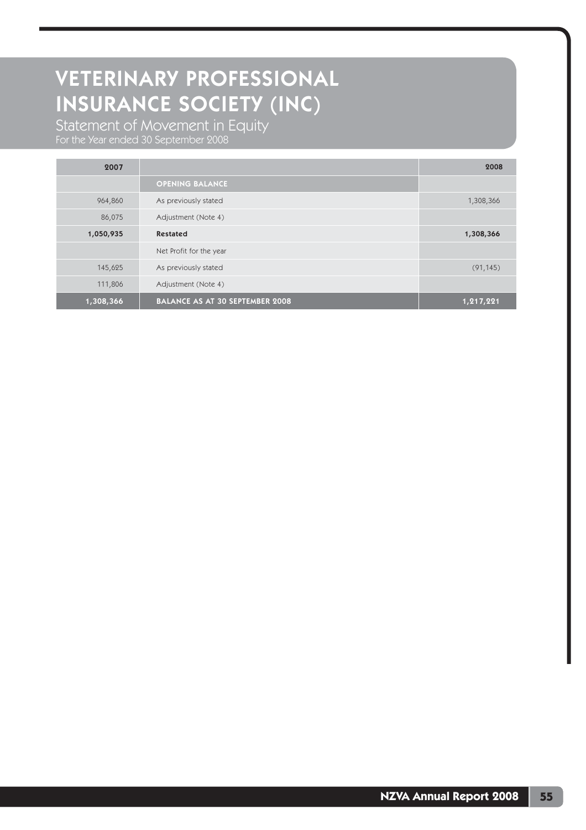Statement of Movement in Equity For the Year ended 30 September 2008

| 2007      |                                        | 2008      |
|-----------|----------------------------------------|-----------|
|           | <b>OPENING BALANCE</b>                 |           |
| 964,860   | As previously stated                   | 1,308,366 |
| 86,075    | Adjustment (Note 4)                    |           |
| 1,050,935 | <b>Restated</b>                        | 1,308,366 |
|           | Net Profit for the year                |           |
| 145,625   | As previously stated                   | (91, 145) |
| 111,806   | Adjustment (Note 4)                    |           |
| 1,308,366 | <b>BALANCE AS AT 30 SEPTEMBER 2008</b> | 1,217,221 |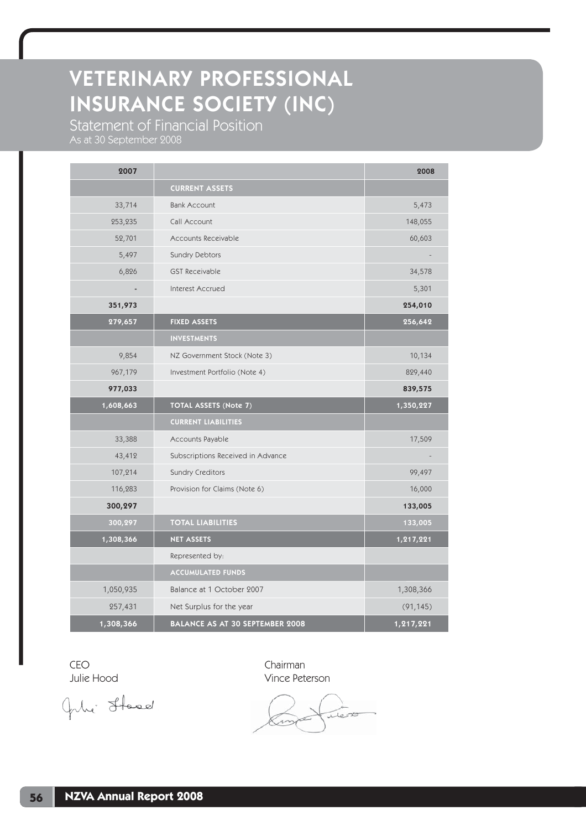Statement of Financial Position

As at 30 September 2008

| 2007                         |                                   | 2008      |
|------------------------------|-----------------------------------|-----------|
|                              | <b>CURRENT ASSETS</b>             |           |
| 33,714                       | <b>Bank Account</b>               | 5,473     |
| 253,235                      | Call Account                      | 148,055   |
| 52,701                       | Accounts Receivable               | 60,603    |
| 5,497                        | Sundry Debtors                    |           |
| 6,826                        | <b>GST Receivable</b>             | 34,578    |
| $\qquad \qquad \blacksquare$ | Interest Accrued                  | 5,301     |
| 351,973                      |                                   | 254,010   |
| 279,657                      | <b>FIXED ASSETS</b>               | 256,642   |
|                              | <b>INVESTMENTS</b>                |           |
| 9,854                        | NZ Government Stock (Note 3)      | 10,134    |
| 967,179                      | Investment Portfolio (Note 4)     | 829,440   |
| 977,033                      |                                   | 839,575   |
|                              |                                   |           |
| 1,608,663                    | TOTAL ASSETS (Note 7)             | 1,350,227 |
|                              | <b>CURRENT LIABILITIES</b>        |           |
| 33,388                       | Accounts Payable                  | 17,509    |
| 43,412                       | Subscriptions Received in Advance |           |
| 107,214                      | <b>Sundry Creditors</b>           | 99,497    |
| 116,283                      | Provision for Claims (Note 6)     | 16,000    |
| 300,297                      |                                   | 133,005   |
| 300,297                      | <b>TOTAL LIABILITIES</b>          | 133,005   |
| 1,308,366                    | <b>NET ASSETS</b>                 | 1,217,221 |
|                              | Represented by:                   |           |
|                              | <b>ACCUMULATED FUNDS</b>          |           |
| 1,050,935                    | Balance at 1 October 2007         | 1,308,366 |
| 257,431                      | Net Surplus for the year          | (91, 145) |

CEO Chairman

Gile Stood.

Julie Hood Vince Peterson

Tess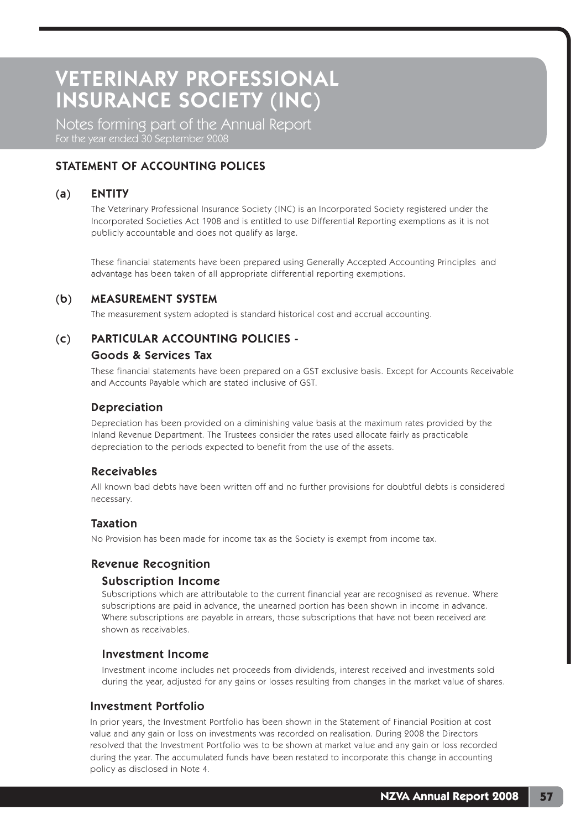Notes forming part of the Annual Report For the year ended 30 September 2008

# STATEMENT OF ACCOUNTING POLICES

## (a) ENTITY

 The Veterinary Professional Insurance Society (INC) is an Incorporated Society registered under the Incorporated Societies Act 1908 and is entitled to use Differential Reporting exemptions as it is not publicly accountable and does not qualify as large.

 These financial statements have been prepared using Generally Accepted Accounting Principles and advantage has been taken of all appropriate differential reporting exemptions.

## (b) MEASUREMENT SYSTEM

The measurement system adopted is standard historical cost and accrual accounting.

## (c) PARTICULAR ACCOUNTING POLICIES -

#### Goods & Services Tax

 These financial statements have been prepared on a GST exclusive basis. Except for Accounts Receivable and Accounts Payable which are stated inclusive of GST.

## Depreciation

 Depreciation has been provided on a diminishing value basis at the maximum rates provided by the Inland Revenue Department. The Trustees consider the rates used allocate fairly as practicable depreciation to the periods expected to benefit from the use of the assets.

## Receivables

 All known bad debts have been written off and no further provisions for doubtful debts is considered necessary.

#### Taxation

No Provision has been made for income tax as the Society is exempt from income tax.

### Revenue Recognition

#### Subscription Income

 Subscriptions which are attributable to the current financial year are recognised as revenue. Where subscriptions are paid in advance, the unearned portion has been shown in income in advance. Where subscriptions are payable in arrears, those subscriptions that have not been received are shown as receivables.

### Investment Income

 Investment income includes net proceeds from dividends, interest received and investments sold during the year, adjusted for any gains or losses resulting from changes in the market value of shares.

#### Investment Portfolio

 In prior years, the Investment Portfolio has been shown in the Statement of Financial Position at cost value and any gain or loss on investments was recorded on realisation. During 2008 the Directors resolved that the Investment Portfolio was to be shown at market value and any gain or loss recorded during the year. The accumulated funds have been restated to incorporate this change in accounting policy as disclosed in Note 4.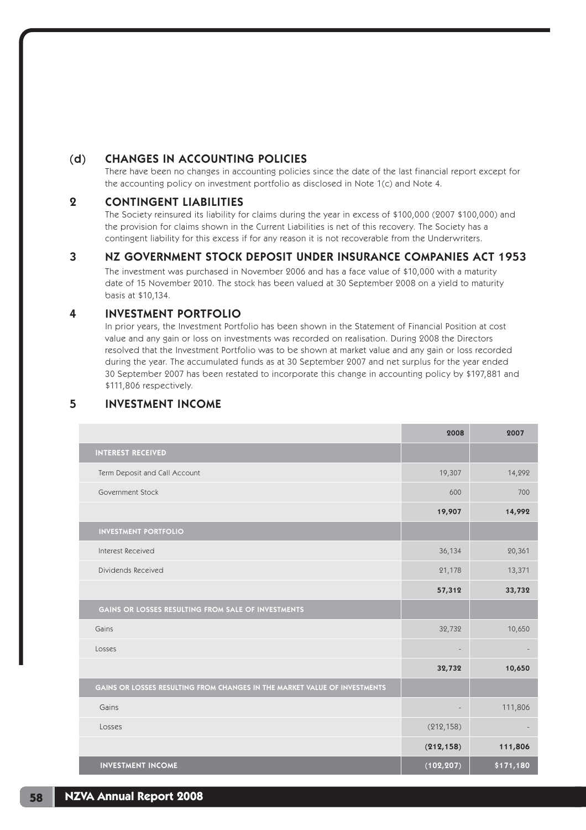# (d) CHANGES IN ACCOUNTING POLICIES

 There have been no changes in accounting policies since the date of the last financial report except for the accounting policy on investment portfolio as disclosed in Note 1(c) and Note 4.

## 2 CONTINGENT LIABILITIES

 The Society reinsured its liability for claims during the year in excess of \$100,000 (2007 \$100,000) and the provision for claims shown in the Current Liabilities is net of this recovery. The Society has a contingent liability for this excess if for any reason it is not recoverable from the Underwriters.

## 3 NZ GOVERNMENT STOCK DEPOSIT UNDER INSURANCE COMPANIES ACT 1953

The investment was purchased in November 2006 and has a face value of \$10,000 with a maturity date of 15 November 2010. The stock has been valued at 30 September 2008 on a yield to maturity basis at \$10,134.

## 4 INVESTMENT PORTFOLIO

 In prior years, the Investment Portfolio has been shown in the Statement of Financial Position at cost value and any gain or loss on investments was recorded on realisation. During 2008 the Directors resolved that the Investment Portfolio was to be shown at market value and any gain or loss recorded during the year. The accumulated funds as at 30 September 2007 and net surplus for the year ended 30 September 2007 has been restated to incorporate this change in accounting policy by \$197,881 and \$111,806 respectively.

# 5 INVESTMENT INCOME

|                                                                           | 2008              | 2007      |
|---------------------------------------------------------------------------|-------------------|-----------|
| <b>INTEREST RECEIVED</b>                                                  |                   |           |
| Term Deposit and Call Account                                             | 19,307            | 14,292    |
| Government Stock                                                          | 600               | 700       |
|                                                                           | 19,907            | 14,992    |
| <b>INVESTMENT PORTFOLIO</b>                                               |                   |           |
| Interest Received                                                         | 36,134            | 20,361    |
| Dividends Received                                                        | 21,178            | 13,371    |
|                                                                           | 57,312            | 33,732    |
| GAINS OR LOSSES RESULTING FROM SALE OF INVESTMENTS                        |                   |           |
| Gains                                                                     | 32,732            | 10,650    |
| Losses                                                                    | $\qquad \qquad -$ |           |
|                                                                           | 32,732            | 10,650    |
| GAINS OR LOSSES RESULTING FROM CHANGES IN THE MARKET VALUE OF INVESTMENTS |                   |           |
| Gains                                                                     |                   | 111,806   |
| Losses                                                                    | (212, 158)        |           |
|                                                                           | (212, 158)        | 111,806   |
| <b>INVESTMENT INCOME</b>                                                  | (102, 207)        | \$171,180 |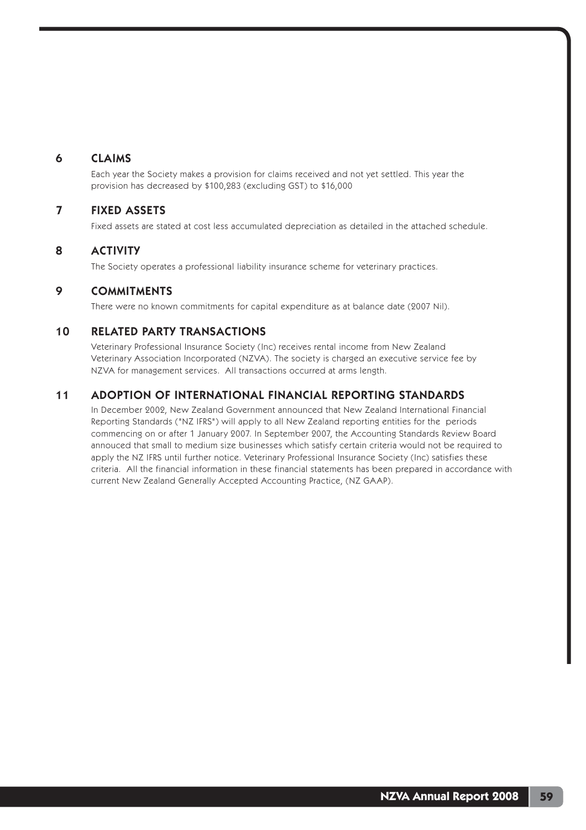## 6 CLAIMS

 Each year the Society makes a provision for claims received and not yet settled. This year the provision has decreased by \$100,283 (excluding GST) to \$16,000

## 7 FIXED ASSETS

Fixed assets are stated at cost less accumulated depreciation as detailed in the attached schedule.

## 8 ACTIVITY

The Society operates a professional liability insurance scheme for veterinary practices.

## 9 COMMITMENTS

There were no known commitments for capital expenditure as at balance date (2007 Nil).

## 10 RELATED PARTY TRANSACTIONS

 Veterinary Professional Insurance Society (Inc) receives rental income from New Zealand Veterinary Association Incorporated (NZVA). The society is charged an executive service fee by NZVA for management services. All transactions occurred at arms length.

# 11 ADOPTION OF INTERNATIONAL FINANCIAL REPORTING STANDARDS

In December 2002, New Zealand Government announced that New Zealand International Financial Reporting Standards ("NZ IFRS") will apply to all New Zealand reporting entities for the periods commencing on or after 1 January 2007. In September 2007, the Accounting Standards Review Board annouced that small to medium size businesses which satisfy certain criteria would not be required to apply the NZ IFRS until further notice. Veterinary Professional Insurance Society (Inc) satisfies these criteria. All the financial information in these financial statements has been prepared in accordance with current New Zealand Generally Accepted Accounting Practice, (NZ GAAP).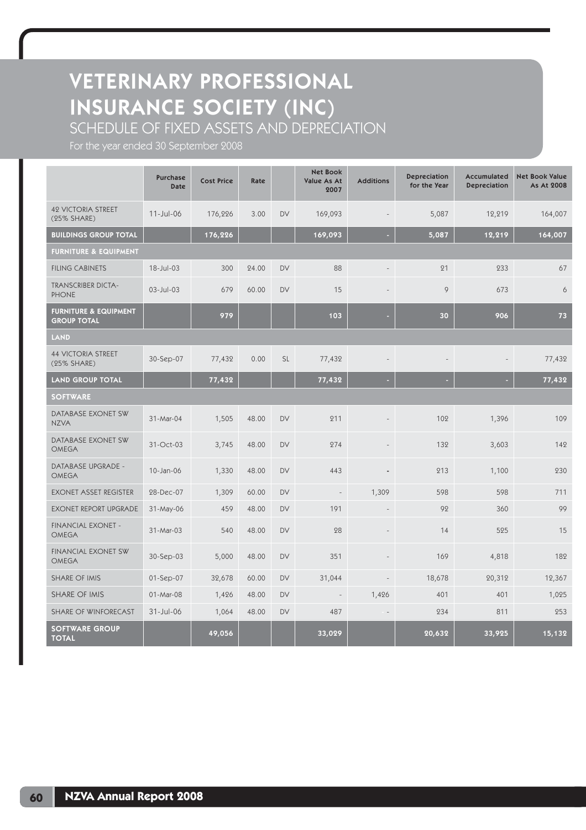SCHEDULE OF FIXED ASSETS AND DEPRECIATION

For the year ended 30 September 2008

|                                                        | <b>Purchase</b><br><b>Date</b> | <b>Cost Price</b> | Rate  |           | <b>Net Book</b><br>Value As At<br>2007 | <b>Additions</b> | Depreciation<br>for the Year | Accumulated<br><b>Depreciation</b> | <b>Net Book Value</b><br>As At 2008 |  |  |
|--------------------------------------------------------|--------------------------------|-------------------|-------|-----------|----------------------------------------|------------------|------------------------------|------------------------------------|-------------------------------------|--|--|
| <b>42 VICTORIA STREET</b><br>(25% SHARE)               | $11$ -Jul-06                   | 176,226           | 3.00  | <b>DV</b> | 169,093                                |                  | 5,087                        | 12,219                             | 164,007                             |  |  |
| <b>BUILDINGS GROUP TOTAL</b>                           |                                | 176,226           |       |           | 169,093                                |                  | 5,087                        | 12,219                             | 164,007                             |  |  |
| <b>FURNITURE &amp; EQUIPMENT</b>                       |                                |                   |       |           |                                        |                  |                              |                                    |                                     |  |  |
| <b>FILING CABINETS</b>                                 | 18-Jul-03                      | 300               | 24.00 | <b>DV</b> | 88                                     |                  | 21                           | 233                                | 67                                  |  |  |
| <b>TRANSCRIBER DICTA-</b><br><b>PHONE</b>              | $03$ -Jul-03                   | 679               | 60.00 | <b>DV</b> | 15                                     |                  | 9                            | 673                                | 6                                   |  |  |
| <b>FURNITURE &amp; EQUIPMENT</b><br><b>GROUP TOTAL</b> |                                | 979               |       |           | 103                                    |                  | 30                           | 906                                | 73                                  |  |  |
| <b>LAND</b>                                            |                                |                   |       |           |                                        |                  |                              |                                    |                                     |  |  |
| <b>44 VICTORIA STREET</b><br>(25% SHARE)               | 30-Sep-07                      | 77,432            | 0.00  | <b>SL</b> | 77,432                                 |                  |                              |                                    | 77,432                              |  |  |
| <b>LAND GROUP TOTAL</b>                                |                                | 77,432            |       |           | 77,432                                 |                  |                              |                                    | 77,432                              |  |  |
| <b>SOFTWARE</b>                                        |                                |                   |       |           |                                        |                  |                              |                                    |                                     |  |  |
| DATABASE EXONET SW<br><b>NZVA</b>                      | 31-Mar-04                      | 1,505             | 48.00 | <b>DV</b> | 211                                    |                  | 102                          | 1,396                              | 109                                 |  |  |
| DATABASE EXONET SW<br><b>OMEGA</b>                     | 31-Oct-03                      | 3,745             | 48.00 | <b>DV</b> | 274                                    |                  | 132                          | 3,603                              | 142                                 |  |  |
| <b>DATABASE UPGRADE -</b><br><b>OMEGA</b>              | 10-Jan-06                      | 1,330             | 48.00 | DV        | 443                                    |                  | 213                          | 1,100                              | 230                                 |  |  |
| <b>EXONET ASSET REGISTER</b>                           | 28-Dec-07                      | 1,309             | 60.00 | <b>DV</b> | $\overline{\phantom{a}}$               | 1,309            | 598                          | 598                                | 711                                 |  |  |
| <b>EXONET REPORT UPGRADE</b>                           | 31-May-06                      | 459               | 48.00 | DV        | 191                                    |                  | 92                           | 360                                | 99                                  |  |  |
| FINANCIAL EXONET -<br><b>OMEGA</b>                     | 31-Mar-03                      | 540               | 48.00 | <b>DV</b> | 28                                     |                  | 14                           | 525                                | 15                                  |  |  |
| <b>FINANCIAL EXONET SW</b><br><b>OMEGA</b>             | 30-Sep-03                      | 5,000             | 48.00 | DV        | 351                                    |                  | 169                          | 4,818                              | 182                                 |  |  |
| <b>SHARE OF IMIS</b>                                   | 01-Sep-07                      | 32,678            | 60.00 | <b>DV</b> | 31,044                                 |                  | 18,678                       | 20,312                             | 12,367                              |  |  |
| <b>SHARE OF IMIS</b>                                   | 01-Mar-08                      | 1,426             | 48.00 | DV        |                                        | 1,426            | 401                          | 401                                | 1,025                               |  |  |
| <b>SHARE OF WINFORECAST</b>                            | $31$ -Jul-06                   | 1,064             | 48.00 | DV        | 487                                    |                  | 234                          | 811                                | 253                                 |  |  |
| <b>SOFTWARE GROUP</b><br><b>TOTAL</b>                  |                                | 49,056            |       |           | 33,029                                 |                  | 20,632                       | 33,925                             | 15,132                              |  |  |